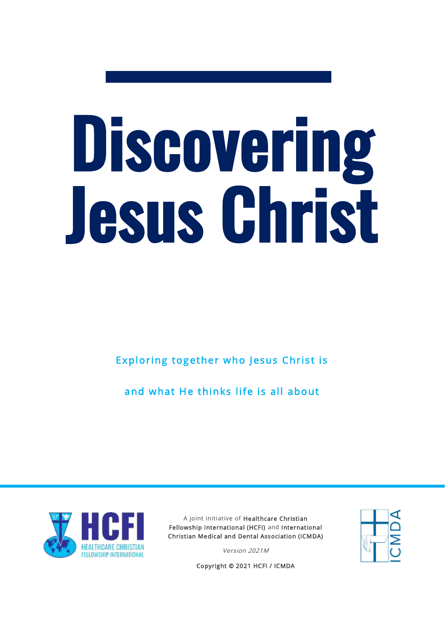# Discovering Jesus Christ

Exploring together who Jesus Christ is

and what He thinks life is all about



A joint initiative of Healthcare Christian Fellowship International (HCFI) and International Christian Medical and Dental Association (ICMDA)



Version 2021M

Copyright © 2021 HCFI / ICMDA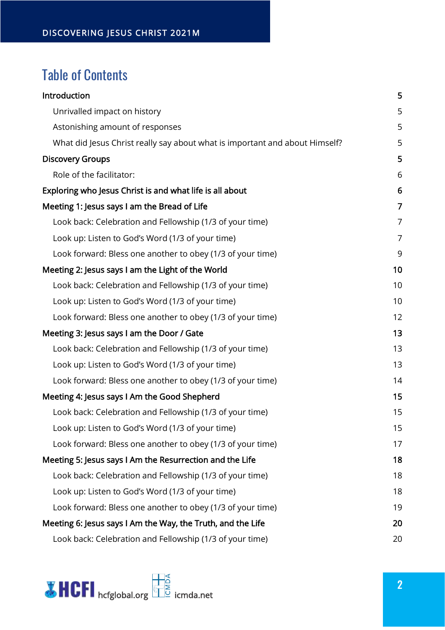# Table of Contents

| Introduction                                                                | 5  |
|-----------------------------------------------------------------------------|----|
| Unrivalled impact on history                                                | 5  |
| Astonishing amount of responses                                             | 5  |
| What did Jesus Christ really say about what is important and about Himself? | 5  |
| <b>Discovery Groups</b>                                                     | 5  |
| Role of the facilitator:                                                    | 6  |
| Exploring who Jesus Christ is and what life is all about                    | 6  |
| Meeting 1: Jesus says I am the Bread of Life                                | 7  |
| Look back: Celebration and Fellowship (1/3 of your time)                    | 7  |
| Look up: Listen to God's Word (1/3 of your time)                            | 7  |
| Look forward: Bless one another to obey (1/3 of your time)                  | 9  |
| Meeting 2: Jesus says I am the Light of the World                           | 10 |
| Look back: Celebration and Fellowship (1/3 of your time)                    | 10 |
| Look up: Listen to God's Word (1/3 of your time)                            | 10 |
| Look forward: Bless one another to obey (1/3 of your time)                  | 12 |
| Meeting 3: Jesus says I am the Door / Gate                                  | 13 |
| Look back: Celebration and Fellowship (1/3 of your time)                    | 13 |
| Look up: Listen to God's Word (1/3 of your time)                            | 13 |
| Look forward: Bless one another to obey (1/3 of your time)                  | 14 |
| Meeting 4: Jesus says I Am the Good Shepherd                                | 15 |
| Look back: Celebration and Fellowship (1/3 of your time)                    | 15 |
| Look up: Listen to God's Word (1/3 of your time)                            | 15 |
| Look forward: Bless one another to obey (1/3 of your time)                  | 17 |
| Meeting 5: Jesus says I Am the Resurrection and the Life                    | 18 |
| Look back: Celebration and Fellowship (1/3 of your time)                    | 18 |
| Look up: Listen to God's Word (1/3 of your time)                            | 18 |
| Look forward: Bless one another to obey (1/3 of your time)                  | 19 |
| Meeting 6: Jesus says I Am the Way, the Truth, and the Life                 | 20 |
| Look back: Celebration and Fellowship (1/3 of your time)                    | 20 |

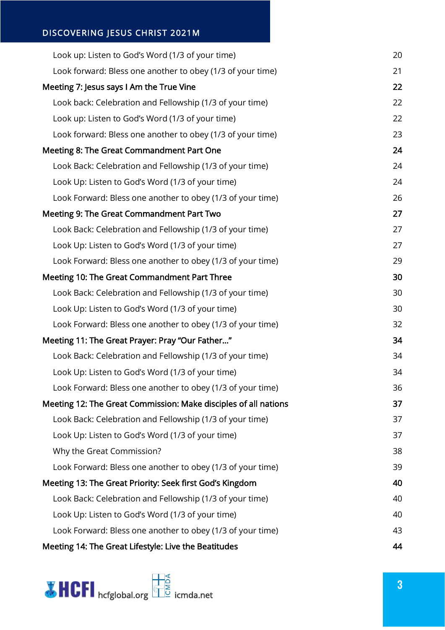## DISCOVERING JESUS CHRIST 2021M

| Look up: Listen to God's Word (1/3 of your time)                | 20 |
|-----------------------------------------------------------------|----|
| Look forward: Bless one another to obey (1/3 of your time)      | 21 |
| Meeting 7: Jesus says I Am the True Vine                        | 22 |
| Look back: Celebration and Fellowship (1/3 of your time)        | 22 |
| Look up: Listen to God's Word (1/3 of your time)                | 22 |
| Look forward: Bless one another to obey (1/3 of your time)      | 23 |
| Meeting 8: The Great Commandment Part One                       | 24 |
| Look Back: Celebration and Fellowship (1/3 of your time)        | 24 |
| Look Up: Listen to God's Word (1/3 of your time)                | 24 |
| Look Forward: Bless one another to obey (1/3 of your time)      | 26 |
| Meeting 9: The Great Commandment Part Two                       | 27 |
| Look Back: Celebration and Fellowship (1/3 of your time)        | 27 |
| Look Up: Listen to God's Word (1/3 of your time)                | 27 |
| Look Forward: Bless one another to obey (1/3 of your time)      | 29 |
| Meeting 10: The Great Commandment Part Three                    | 30 |
| Look Back: Celebration and Fellowship (1/3 of your time)        | 30 |
| Look Up: Listen to God's Word (1/3 of your time)                | 30 |
| Look Forward: Bless one another to obey (1/3 of your time)      | 32 |
| Meeting 11: The Great Prayer: Pray "Our Father"                 | 34 |
| Look Back: Celebration and Fellowship (1/3 of your time)        | 34 |
| Look Up: Listen to God's Word (1/3 of your time)                | 34 |
| Look Forward: Bless one another to obey (1/3 of your time)      | 36 |
| Meeting 12: The Great Commission: Make disciples of all nations | 37 |
| Look Back: Celebration and Fellowship (1/3 of your time)        | 37 |
| Look Up: Listen to God's Word (1/3 of your time)                | 37 |
| Why the Great Commission?                                       | 38 |
| Look Forward: Bless one another to obey (1/3 of your time)      | 39 |
| Meeting 13: The Great Priority: Seek first God's Kingdom        | 40 |
| Look Back: Celebration and Fellowship (1/3 of your time)        | 40 |
| Look Up: Listen to God's Word (1/3 of your time)                | 40 |
| Look Forward: Bless one another to obey (1/3 of your time)      | 43 |
| Meeting 14: The Great Lifestyle: Live the Beatitudes            | 44 |

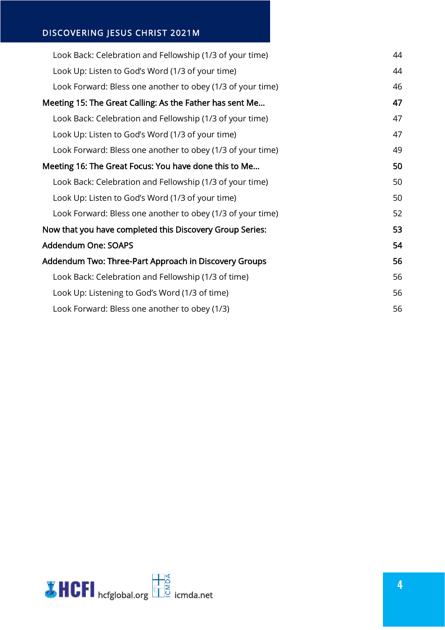## DISCOVERING JESUS CHRIST 2021M

| Look Back: Celebration and Fellowship (1/3 of your time)   | 44 |
|------------------------------------------------------------|----|
| Look Up: Listen to God's Word (1/3 of your time)           | 44 |
| Look Forward: Bless one another to obey (1/3 of your time) | 46 |
| Meeting 15: The Great Calling: As the Father has sent Me   | 47 |
| Look Back: Celebration and Fellowship (1/3 of your time)   | 47 |
| Look Up: Listen to God's Word (1/3 of your time)           | 47 |
| Look Forward: Bless one another to obey (1/3 of your time) | 49 |
| Meeting 16: The Great Focus: You have done this to Me      | 50 |
| Look Back: Celebration and Fellowship (1/3 of your time)   | 50 |
| Look Up: Listen to God's Word (1/3 of your time)           | 50 |
| Look Forward: Bless one another to obey (1/3 of your time) | 52 |
| Now that you have completed this Discovery Group Series:   | 53 |
| <b>Addendum One: SOAPS</b>                                 | 54 |
| Addendum Two: Three-Part Approach in Discovery Groups      | 56 |
| Look Back: Celebration and Fellowship (1/3 of time)        | 56 |
| Look Up: Listening to God's Word (1/3 of time)             | 56 |
| Look Forward: Bless one another to obey (1/3)              | 56 |
|                                                            |    |

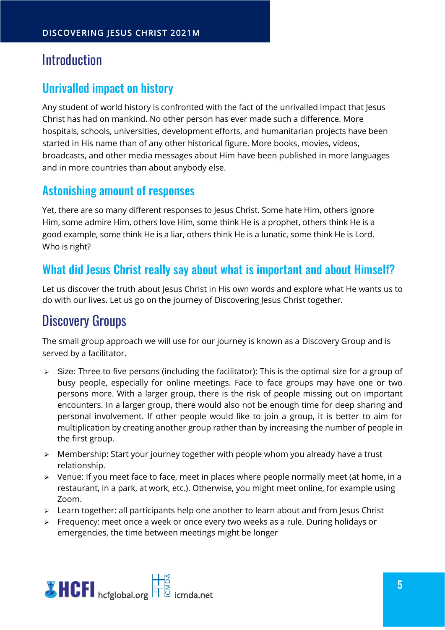# <span id="page-4-0"></span>**Introduction**

## <span id="page-4-1"></span>Unrivalled impact on history

Any student of world history is confronted with the fact of the unrivalled impact that Jesus Christ has had on mankind. No other person has ever made such a difference. More hospitals, schools, universities, development efforts, and humanitarian projects have been started in His name than of any other historical figure. More books, movies, videos, broadcasts, and other media messages about Him have been published in more languages and in more countries than about anybody else.

## <span id="page-4-2"></span>Astonishing amount of responses

Yet, there are so many different responses to Jesus Christ. Some hate Him, others ignore Him, some admire Him, others love Him, some think He is a prophet, others think He is a good example, some think He is a liar, others think He is a lunatic, some think He is Lord. Who is right?

# <span id="page-4-3"></span>What did Jesus Christ really say about what is important and about Himself?

Let us discover the truth about Jesus Christ in His own words and explore what He wants us to do with our lives. Let us go on the journey of Discovering Jesus Christ together.

# <span id="page-4-4"></span>Discovery Groups

The small group approach we will use for our journey is known as a Discovery Group and is served by a facilitator.

- $\triangleright$  Size: Three to five persons (including the facilitator): This is the optimal size for a group of busy people, especially for online meetings. Face to face groups may have one or two persons more. With a larger group, there is the risk of people missing out on important encounters. In a larger group, there would also not be enough time for deep sharing and personal involvement. If other people would like to join a group, it is better to aim for multiplication by creating another group rather than by increasing the number of people in the first group.
- ➢ Membership: Start your journey together with people whom you already have a trust relationship.
- ➢ Venue: If you meet face to face, meet in places where people normally meet (at home, in a restaurant, in a park, at work, etc.). Otherwise, you might meet online, for example using Zoom.
- ➢ Learn together: all participants help one another to learn about and from Jesus Christ
- ➢ Frequency: meet once a week or once every two weeks as a rule. During holidays or emergencies, the time between meetings might be longer

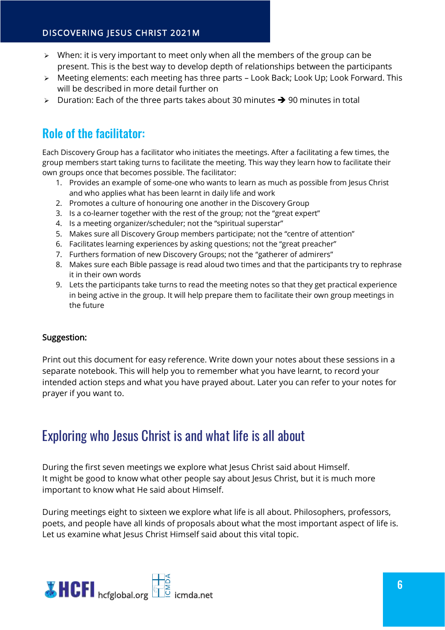#### DISCOVERING JESUS CHRIST 2021M

- ➢ When: it is very important to meet only when all the members of the group can be present. This is the best way to develop depth of relationships between the participants
- ➢ Meeting elements: each meeting has three parts Look Back; Look Up; Look Forward. This will be described in more detail further on
- $\triangleright$  Duration: Each of the three parts takes about 30 minutes  $\rightarrow$  90 minutes in total

# <span id="page-5-0"></span>Role of the facilitator:

Each Discovery Group has a facilitator who initiates the meetings. After a facilitating a few times, the group members start taking turns to facilitate the meeting. This way they learn how to facilitate their own groups once that becomes possible. The facilitator:

- 1. Provides an example of some-one who wants to learn as much as possible from Jesus Christ and who applies what has been learnt in daily life and work
- 2. Promotes a culture of honouring one another in the Discovery Group
- 3. Is a co-learner together with the rest of the group; not the "great expert"
- 4. Is a meeting organizer/scheduler; not the "spiritual superstar"
- 5. Makes sure all Discovery Group members participate; not the "centre of attention"
- 6. Facilitates learning experiences by asking questions; not the "great preacher"
- 7. Furthers formation of new Discovery Groups; not the "gatherer of admirers"
- 8. Makes sure each Bible passage is read aloud two times and that the participants try to rephrase it in their own words
- 9. Lets the participants take turns to read the meeting notes so that they get practical experience in being active in the group. It will help prepare them to facilitate their own group meetings in the future

#### Suggestion:

Print out this document for easy reference. Write down your notes about these sessions in a separate notebook. This will help you to remember what you have learnt, to record your intended action steps and what you have prayed about. Later you can refer to your notes for prayer if you want to.

# <span id="page-5-1"></span>Exploring who Jesus Christ is and what life is all about

During the first seven meetings we explore what Jesus Christ said about Himself. It might be good to know what other people say about Jesus Christ, but it is much more important to know what He said about Himself.

During meetings eight to sixteen we explore what life is all about. Philosophers, professors, poets, and people have all kinds of proposals about what the most important aspect of life is. Let us examine what Jesus Christ Himself said about this vital topic.

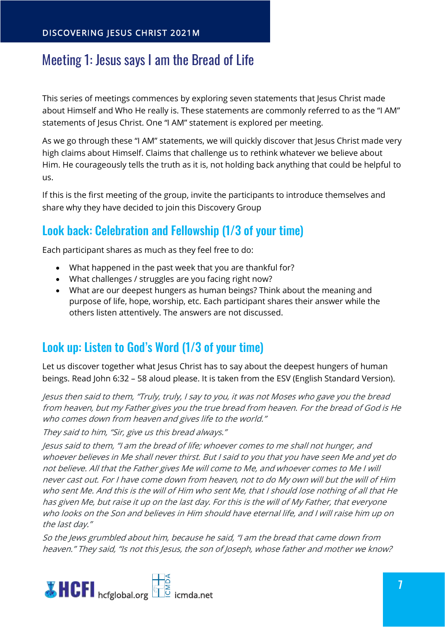# <span id="page-6-0"></span>Meeting 1: Jesus says I am the Bread of Life

This series of meetings commences by exploring seven statements that Jesus Christ made about Himself and Who He really is. These statements are commonly referred to as the "I AM" statements of Jesus Christ. One "I AM" statement is explored per meeting.

As we go through these "I AM" statements, we will quickly discover that Jesus Christ made very high claims about Himself. Claims that challenge us to rethink whatever we believe about Him. He courageously tells the truth as it is, not holding back anything that could be helpful to us.

If this is the first meeting of the group, invite the participants to introduce themselves and share why they have decided to join this Discovery Group

# <span id="page-6-1"></span>Look back: Celebration and Fellowship (1/3 of your time)

Each participant shares as much as they feel free to do:

- What happened in the past week that you are thankful for?
- What challenges / struggles are you facing right now?
- What are our deepest hungers as human beings? Think about the meaning and purpose of life, hope, worship, etc. Each participant shares their answer while the others listen attentively. The answers are not discussed.

# <span id="page-6-2"></span>Look up: Listen to God's Word (1/3 of your time)

Let us discover together what Jesus Christ has to say about the deepest hungers of human beings. Read John 6:32 – 58 aloud please. It is taken from the ESV (English Standard Version).

Jesus then said to them, "Truly, truly, I say to you, it was not Moses who gave you the bread from heaven, but my Father gives you the true bread from heaven. For the bread of God is He who comes down from heaven and gives life to the world."

They said to him, "Sir, give us this bread always."

Jesus said to them, "I am the bread of life; whoever comes to me shall not hunger, and whoever believes in Me shall never thirst. But I said to you that you have seen Me and yet do not believe. All that the Father gives Me will come to Me, and whoever comes to Me I will never cast out. For I have come down from heaven, not to do My own will but the will of Him who sent Me. And this is the will of Him who sent Me, that I should lose nothing of all that He has given Me, but raise it up on the last day. For this is the will of My Father, that everyone who looks on the Son and believes in Him should have eternal life, and I will raise him up on the last day."

So the Jews grumbled about him, because he said, "I am the bread that came down from heaven." They said, "Is not this Jesus, the son of Joseph, whose father and mother we know?

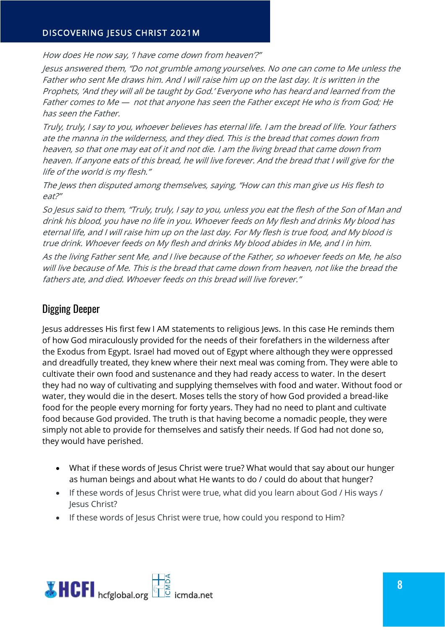How does He now say, 'I have come down from heaven'?"

Jesus answered them, "Do not grumble among yourselves. No one can come to Me unless the Father who sent Me draws him. And I will raise him up on the last day. It is written in the Prophets, 'And they will all be taught by God.' Everyone who has heard and learned from the Father comes to Me — not that anyone has seen the Father except He who is from God; He has seen the Father.

Truly, truly, I say to you, whoever believes has eternal life. I am the bread of life. Your fathers ate the manna in the wilderness, and they died. This is the bread that comes down from heaven, so that one may eat of it and not die. I am the living bread that came down from heaven. If anyone eats of this bread, he will live forever. And the bread that I will give for the life of the world is my flesh."

The Jews then disputed among themselves, saying, "How can this man give us His flesh to eat?"

So Jesus said to them, "Truly, truly, I say to you, unless you eat the flesh of the Son of Man and drink his blood, you have no life in you. Whoever feeds on My flesh and drinks My blood has eternal life, and I will raise him up on the last day. For My flesh is true food, and My blood is true drink. Whoever feeds on My flesh and drinks My blood abides in Me, and I in him.

As the living Father sent Me, and I live because of the Father, so whoever feeds on Me, he also will live because of Me. This is the bread that came down from heaven, not like the bread the fathers ate, and died. Whoever feeds on this bread will live forever."

#### Digging Deeper

Jesus addresses His first few I AM statements to religious Jews. In this case He reminds them of how God miraculously provided for the needs of their forefathers in the wilderness after the Exodus from Egypt. Israel had moved out of Egypt where although they were oppressed and dreadfully treated, they knew where their next meal was coming from. They were able to cultivate their own food and sustenance and they had ready access to water. In the desert they had no way of cultivating and supplying themselves with food and water. Without food or water, they would die in the desert. Moses tells the story of how God provided a bread-like food for the people every morning for forty years. They had no need to plant and cultivate food because God provided. The truth is that having become a nomadic people, they were simply not able to provide for themselves and satisfy their needs. If God had not done so, they would have perished.

- What if these words of Jesus Christ were true? What would that say about our hunger as human beings and about what He wants to do / could do about that hunger?
- If these words of Jesus Christ were true, what did you learn about God / His ways / Jesus Christ?
- If these words of Jesus Christ were true, how could you respond to Him?

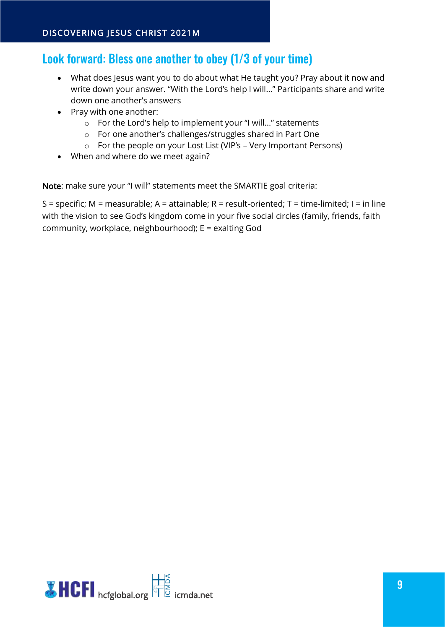## <span id="page-8-0"></span>Look forward: Bless one another to obey (1/3 of your time)

- What does Jesus want you to do about what He taught you? Pray about it now and write down your answer. "With the Lord's help I will…" Participants share and write down one another's answers
- Pray with one another:
	- o For the Lord's help to implement your "I will…" statements
	- o For one another's challenges/struggles shared in Part One
	- o For the people on your Lost List (VIP's Very Important Persons)
- When and where do we meet again?

Note: make sure your "I will" statements meet the SMARTIE goal criteria:

S = specific; M = measurable; A = attainable; R = result-oriented; T = time-limited; I = in line with the vision to see God's kingdom come in your five social circles (family, friends, faith community, workplace, neighbourhood); E = exalting God

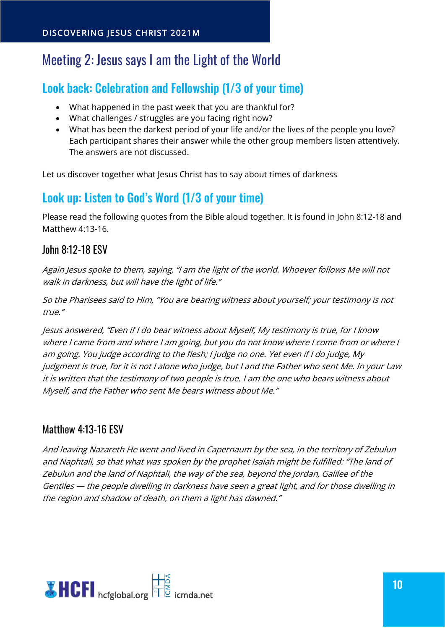# <span id="page-9-0"></span>Meeting 2: Jesus says I am the Light of the World

# <span id="page-9-1"></span>Look back: Celebration and Fellowship (1/3 of your time)

- What happened in the past week that you are thankful for?
- What challenges / struggles are you facing right now?
- What has been the darkest period of your life and/or the lives of the people you love? Each participant shares their answer while the other group members listen attentively. The answers are not discussed.

Let us discover together what Jesus Christ has to say about times of darkness

# <span id="page-9-2"></span>Look up: Listen to God's Word (1/3 of your time)

Please read the following quotes from the Bible aloud together. It is found in John 8:12-18 and Matthew 4:13-16.

#### John 8:12-18 ESV

Again Jesus spoke to them, saying, "I am the light of the world. Whoever follows Me will not walk in darkness, but will have the light of life."

So the Pharisees said to Him, "You are bearing witness about yourself; your testimony is not true."

Jesus answered, "Even if I do bear witness about Myself, My testimony is true, for I know where I came from and where I am going, but you do not know where I come from or where I am going. You judge according to the flesh; I judge no one. Yet even if I do judge, My judgment is true, for it is not I alone who judge, but I and the Father who sent Me. In your Law it is written that the testimony of two people is true. I am the one who bears witness about Myself, and the Father who sent Me bears witness about Me."

#### Matthew 4:13-16 ESV

And leaving Nazareth He went and lived in Capernaum by the sea, in the territory of Zebulun and Naphtali, so that what was spoken by the prophet Isaiah might be fulfilled: "The land of Zebulun and the land of Naphtali, the way of the sea, beyond the Jordan, Galilee of the Gentiles — the people dwelling in darkness have seen a great light, and for those dwelling in the region and shadow of death, on them a light has dawned."

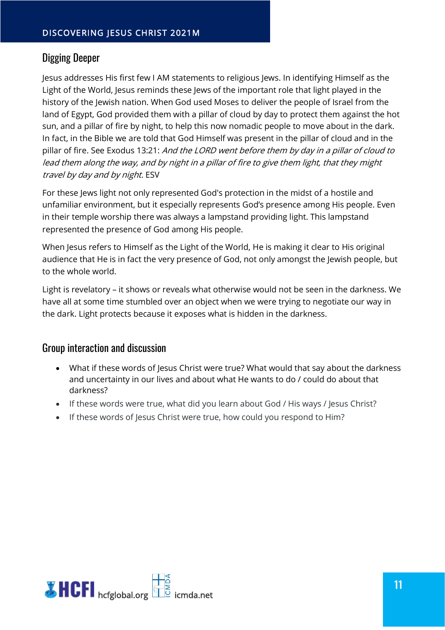#### Digging Deeper

Jesus addresses His first few I AM statements to religious Jews. In identifying Himself as the Light of the World, Jesus reminds these Jews of the important role that light played in the history of the Jewish nation. When God used Moses to deliver the people of Israel from the land of Egypt, God provided them with a pillar of cloud by day to protect them against the hot sun, and a pillar of fire by night, to help this now nomadic people to move about in the dark. In fact, in the Bible we are told that God Himself was present in the pillar of cloud and in the pillar of fire. See Exodus 13:21: And the LORD went before them by day in a pillar of cloud to lead them along the way, and by night in a pillar of fire to give them light, that they might travel by day and by night. ESV

For these Jews light not only represented God's protection in the midst of a hostile and unfamiliar environment, but it especially represents God's presence among His people. Even in their temple worship there was always a lampstand providing light. This lampstand represented the presence of God among His people.

When Jesus refers to Himself as the Light of the World, He is making it clear to His original audience that He is in fact the very presence of God, not only amongst the Jewish people, but to the whole world.

Light is revelatory – it shows or reveals what otherwise would not be seen in the darkness. We have all at some time stumbled over an object when we were trying to negotiate our way in the dark. Light protects because it exposes what is hidden in the darkness.

#### Group interaction and discussion

- What if these words of Jesus Christ were true? What would that say about the darkness and uncertainty in our lives and about what He wants to do / could do about that darkness?
- If these words were true, what did you learn about God / His ways / Jesus Christ?
- If these words of lesus Christ were true, how could you respond to Him?

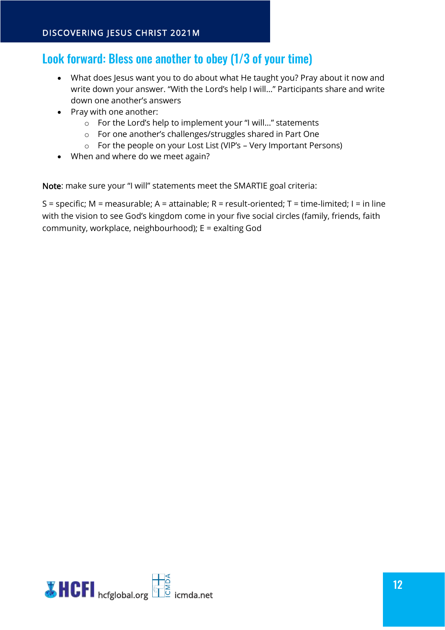## <span id="page-11-0"></span>Look forward: Bless one another to obey (1/3 of your time)

- What does Jesus want you to do about what He taught you? Pray about it now and write down your answer. "With the Lord's help I will…" Participants share and write down one another's answers
- Pray with one another:
	- o For the Lord's help to implement your "I will…" statements
	- o For one another's challenges/struggles shared in Part One
	- o For the people on your Lost List (VIP's Very Important Persons)
- When and where do we meet again?

Note: make sure your "I will" statements meet the SMARTIE goal criteria:

S = specific; M = measurable; A = attainable; R = result-oriented; T = time-limited; I = in line with the vision to see God's kingdom come in your five social circles (family, friends, faith community, workplace, neighbourhood); E = exalting God

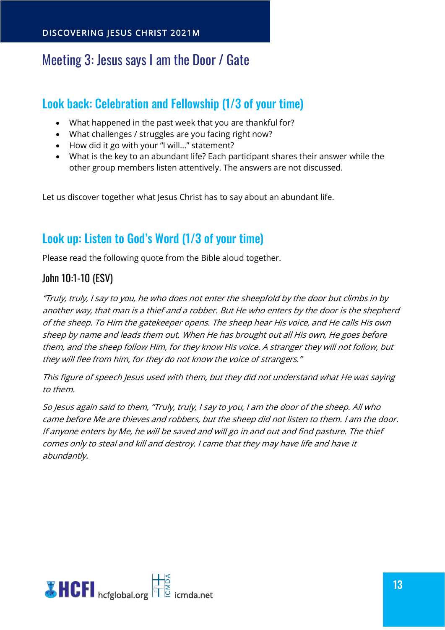# <span id="page-12-0"></span>Meeting 3: Jesus says I am the Door / Gate

## <span id="page-12-1"></span>Look back: Celebration and Fellowship (1/3 of your time)

- What happened in the past week that you are thankful for?
- What challenges / struggles are you facing right now?
- How did it go with your "I will…" statement?
- What is the key to an abundant life? Each participant shares their answer while the other group members listen attentively. The answers are not discussed.

Let us discover together what Jesus Christ has to say about an abundant life.

## <span id="page-12-2"></span>Look up: Listen to God's Word (1/3 of your time)

Please read the following quote from the Bible aloud together.

## John 10:1-10 (ESV)

"Truly, truly, I say to you, he who does not enter the sheepfold by the door but climbs in by another way, that man is a thief and a robber. But He who enters by the door is the shepherd of the sheep. To Him the gatekeeper opens. The sheep hear His voice, and He calls His own sheep by name and leads them out. When He has brought out all His own, He goes before them, and the sheep follow Him, for they know His voice. A stranger they will not follow, but they will flee from him, for they do not know the voice of strangers."

This figure of speech Jesus used with them, but they did not understand what He was saying to them.

So Jesus again said to them, "Truly, truly, I say to you, I am the door of the sheep. All who came before Me are thieves and robbers, but the sheep did not listen to them. I am the door. If anyone enters by Me, he will be saved and will go in and out and find pasture. The thief comes only to steal and kill and destroy. I came that they may have life and have it abundantly.

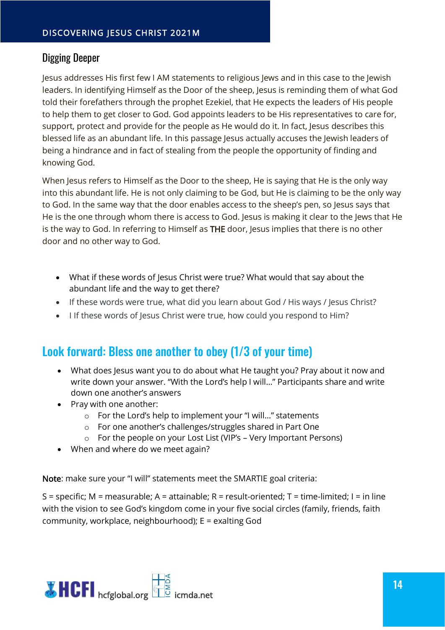#### Digging Deeper

Jesus addresses His first few I AM statements to religious Jews and in this case to the Jewish leaders. In identifying Himself as the Door of the sheep, Jesus is reminding them of what God told their forefathers through the prophet Ezekiel, that He expects the leaders of His people to help them to get closer to God. God appoints leaders to be His representatives to care for, support, protect and provide for the people as He would do it. In fact, Jesus describes this blessed life as an abundant life. In this passage Jesus actually accuses the Jewish leaders of being a hindrance and in fact of stealing from the people the opportunity of finding and knowing God.

When Jesus refers to Himself as the Door to the sheep, He is saying that He is the only way into this abundant life. He is not only claiming to be God, but He is claiming to be the only way to God. In the same way that the door enables access to the sheep's pen, so Jesus says that He is the one through whom there is access to God. Jesus is making it clear to the Jews that He is the way to God. In referring to Himself as THE door, Jesus implies that there is no other door and no other way to God.

- What if these words of Jesus Christ were true? What would that say about the abundant life and the way to get there?
- If these words were true, what did you learn about God / His ways / Jesus Christ?
- I If these words of Jesus Christ were true, how could you respond to Him?

## <span id="page-13-0"></span>Look forward: Bless one another to obey (1/3 of your time)

- What does Jesus want you to do about what He taught you? Pray about it now and write down your answer. "With the Lord's help I will…" Participants share and write down one another's answers
- Pray with one another:
	- o For the Lord's help to implement your "I will…" statements
	- o For one another's challenges/struggles shared in Part One
	- o For the people on your Lost List (VIP's Very Important Persons)
- When and where do we meet again?

Note: make sure your "I will" statements meet the SMARTIE goal criteria:

S = specific; M = measurable; A = attainable; R = result-oriented; T = time-limited; I = in line with the vision to see God's kingdom come in your five social circles (family, friends, faith community, workplace, neighbourhood); E = exalting God

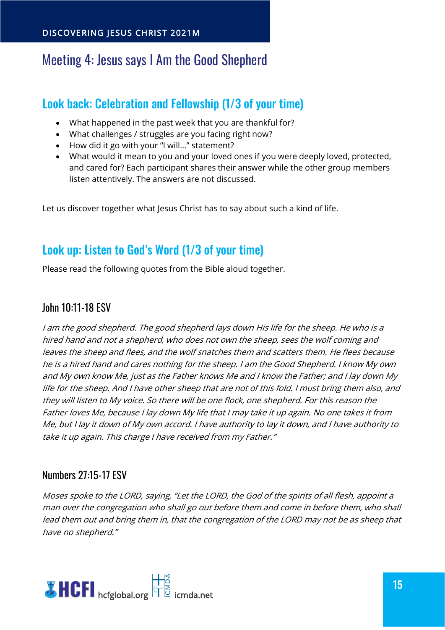# <span id="page-14-0"></span>Meeting 4: Jesus says I Am the Good Shepherd

## <span id="page-14-1"></span>Look back: Celebration and Fellowship (1/3 of your time)

- What happened in the past week that you are thankful for?
- What challenges / struggles are you facing right now?
- How did it go with your "I will…" statement?
- What would it mean to you and your loved ones if you were deeply loved, protected, and cared for? Each participant shares their answer while the other group members listen attentively. The answers are not discussed.

Let us discover together what Jesus Christ has to say about such a kind of life.

## <span id="page-14-2"></span>Look up: Listen to God's Word (1/3 of your time)

Please read the following quotes from the Bible aloud together.

#### John 10:11-18 ESV

I am the good shepherd. The good shepherd lays down His life for the sheep. He who is a hired hand and not a shepherd, who does not own the sheep, sees the wolf coming and leaves the sheep and flees, and the wolf snatches them and scatters them. He flees because he is a hired hand and cares nothing for the sheep. I am the Good Shepherd. I know My own and My own know Me, just as the Father knows Me and I know the Father; and I lay down My life for the sheep. And I have other sheep that are not of this fold. I must bring them also, and they will listen to My voice. So there will be one flock, one shepherd. For this reason the Father loves Me, because I lay down My life that I may take it up again. No one takes it from Me, but I lay it down of My own accord. I have authority to lay it down, and I have authority to take it up again. This charge I have received from my Father."

#### Numbers 27:15-17 ESV

Moses spoke to the LORD, saying, "Let the LORD, the God of the spirits of all flesh, appoint a man over the congregation who shall go out before them and come in before them, who shall lead them out and bring them in, that the congregation of the LORD may not be as sheep that have no shepherd."

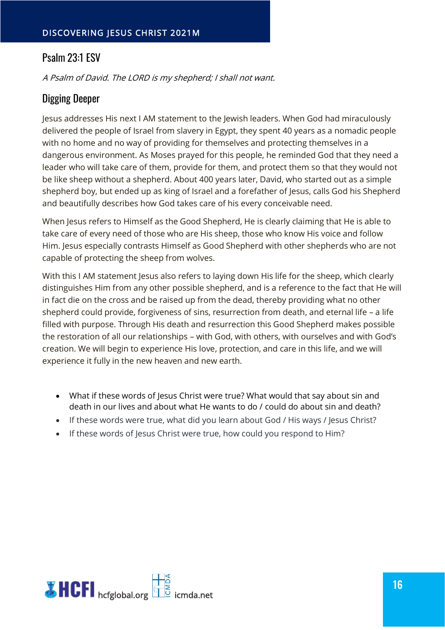#### Psalm 23:1 ESV

A Psalm of David. The LORD is my shepherd; I shall not want.

#### Digging Deeper

Jesus addresses His next I AM statement to the Jewish leaders. When God had miraculously delivered the people of Israel from slavery in Egypt, they spent 40 years as a nomadic people with no home and no way of providing for themselves and protecting themselves in a dangerous environment. As Moses prayed for this people, he reminded God that they need a leader who will take care of them, provide for them, and protect them so that they would not be like sheep without a shepherd. About 400 years later, David, who started out as a simple shepherd boy, but ended up as king of Israel and a forefather of Jesus, calls God his Shepherd and beautifully describes how God takes care of his every conceivable need.

When Jesus refers to Himself as the Good Shepherd, He is clearly claiming that He is able to take care of every need of those who are His sheep, those who know His voice and follow Him. Jesus especially contrasts Himself as Good Shepherd with other shepherds who are not capable of protecting the sheep from wolves.

With this I AM statement Jesus also refers to laying down His life for the sheep, which clearly distinguishes Him from any other possible shepherd, and is a reference to the fact that He will in fact die on the cross and be raised up from the dead, thereby providing what no other shepherd could provide, forgiveness of sins, resurrection from death, and eternal life – a life filled with purpose. Through His death and resurrection this Good Shepherd makes possible the restoration of all our relationships – with God, with others, with ourselves and with God's creation. We will begin to experience His love, protection, and care in this life, and we will experience it fully in the new heaven and new earth.

- What if these words of Jesus Christ were true? What would that say about sin and death in our lives and about what He wants to do / could do about sin and death?
- If these words were true, what did you learn about God / His ways / Jesus Christ?
- If these words of Jesus Christ were true, how could you respond to Him?

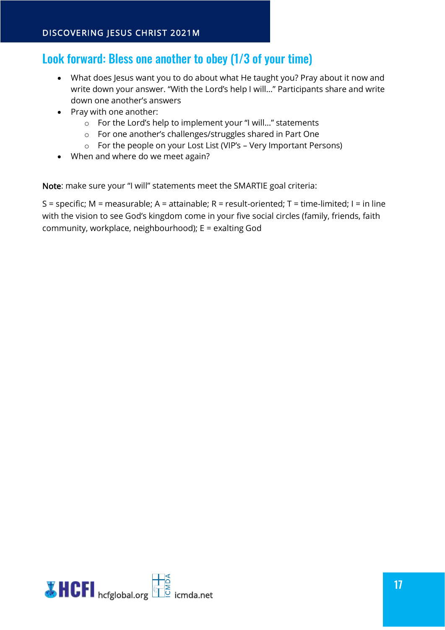## <span id="page-16-0"></span>Look forward: Bless one another to obey (1/3 of your time)

- What does Jesus want you to do about what He taught you? Pray about it now and write down your answer. "With the Lord's help I will…" Participants share and write down one another's answers
- Pray with one another:
	- o For the Lord's help to implement your "I will…" statements
	- o For one another's challenges/struggles shared in Part One
	- o For the people on your Lost List (VIP's Very Important Persons)
- When and where do we meet again?

Note: make sure your "I will" statements meet the SMARTIE goal criteria:

S = specific; M = measurable; A = attainable; R = result-oriented; T = time-limited; I = in line with the vision to see God's kingdom come in your five social circles (family, friends, faith community, workplace, neighbourhood); E = exalting God

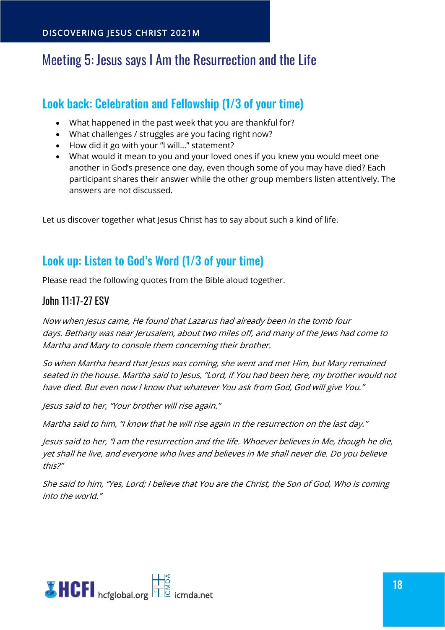# <span id="page-17-0"></span>Meeting 5: Jesus says I Am the Resurrection and the Life

## <span id="page-17-1"></span>Look back: Celebration and Fellowship (1/3 of your time)

- What happened in the past week that you are thankful for?
- What challenges / struggles are you facing right now?
- How did it go with your "I will…" statement?
- What would it mean to you and your loved ones if you knew you would meet one another in God's presence one day, even though some of you may have died? Each participant shares their answer while the other group members listen attentively. The answers are not discussed.

Let us discover together what Jesus Christ has to say about such a kind of life.

## <span id="page-17-2"></span>Look up: Listen to God's Word (1/3 of your time)

Please read the following quotes from the Bible aloud together.

#### John 11:17-27 ESV

Now when Jesus came, He found that Lazarus had already been in the tomb four days. Bethany was near Jerusalem, about two miles off, and many of the Jews had come to Martha and Mary to console them concerning their brother.

So when Martha heard that Jesus was coming, she went and met Him, but Mary remained seated in the house. Martha said to Jesus, "Lord, if You had been here, my brother would not have died. But even now I know that whatever You ask from God, God will give You."

Jesus said to her, "Your brother will rise again."

Martha said to him, "I know that he will rise again in the resurrection on the last day."

Jesus said to her, "I am the resurrection and the life. Whoever believes in Me, though he die, yet shall he live, and everyone who lives and believes in Me shall never die. Do you believe this?"

She said to him, "Yes, Lord; I believe that You are the Christ, the Son of God, Who is coming into the world."

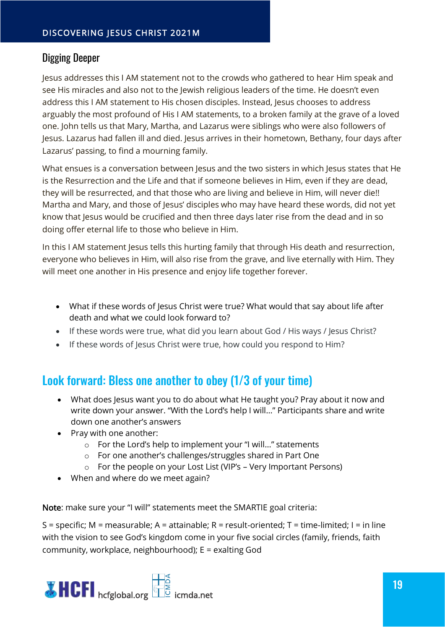#### Digging Deeper

Jesus addresses this I AM statement not to the crowds who gathered to hear Him speak and see His miracles and also not to the Jewish religious leaders of the time. He doesn't even address this I AM statement to His chosen disciples. Instead, Jesus chooses to address arguably the most profound of His I AM statements, to a broken family at the grave of a loved one. John tells us that Mary, Martha, and Lazarus were siblings who were also followers of Jesus. Lazarus had fallen ill and died. Jesus arrives in their hometown, Bethany, four days after Lazarus' passing, to find a mourning family.

What ensues is a conversation between Jesus and the two sisters in which Jesus states that He is the Resurrection and the Life and that if someone believes in Him, even if they are dead, they will be resurrected, and that those who are living and believe in Him, will never die!! Martha and Mary, and those of Jesus' disciples who may have heard these words, did not yet know that Jesus would be crucified and then three days later rise from the dead and in so doing offer eternal life to those who believe in Him.

In this I AM statement Jesus tells this hurting family that through His death and resurrection, everyone who believes in Him, will also rise from the grave, and live eternally with Him. They will meet one another in His presence and enjoy life together forever.

- What if these words of Jesus Christ were true? What would that say about life after death and what we could look forward to?
- If these words were true, what did you learn about God / His ways / Jesus Christ?
- If these words of Jesus Christ were true, how could you respond to Him?

## <span id="page-18-0"></span>Look forward: Bless one another to obey (1/3 of your time)

- What does Jesus want you to do about what He taught you? Pray about it now and write down your answer. "With the Lord's help I will…" Participants share and write down one another's answers
- Pray with one another:
	- o For the Lord's help to implement your "I will…" statements
	- o For one another's challenges/struggles shared in Part One
	- o For the people on your Lost List (VIP's Very Important Persons)
- When and where do we meet again?

Note: make sure your "I will" statements meet the SMARTIE goal criteria:

S = specific; M = measurable; A = attainable; R = result-oriented; T = time-limited; I = in line with the vision to see God's kingdom come in your five social circles (family, friends, faith community, workplace, neighbourhood); E = exalting God

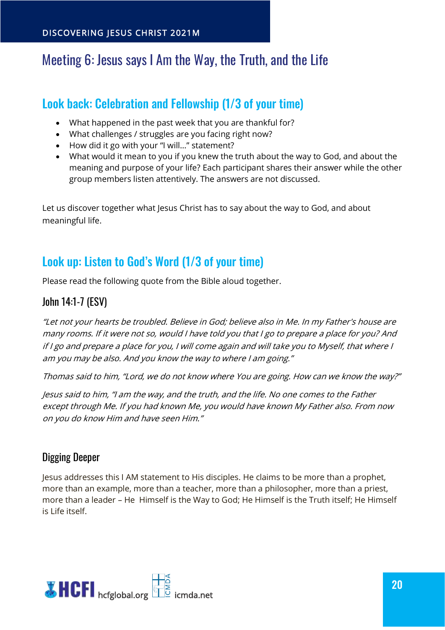# <span id="page-19-0"></span>Meeting 6: Jesus says I Am the Way, the Truth, and the Life

## <span id="page-19-1"></span>Look back: Celebration and Fellowship (1/3 of your time)

- What happened in the past week that you are thankful for?
- What challenges / struggles are you facing right now?
- How did it go with your "I will…" statement?
- What would it mean to you if you knew the truth about the way to God, and about the meaning and purpose of your life? Each participant shares their answer while the other group members listen attentively. The answers are not discussed.

Let us discover together what Jesus Christ has to say about the way to God, and about meaningful life.

## <span id="page-19-2"></span>Look up: Listen to God's Word (1/3 of your time)

Please read the following quote from the Bible aloud together.

### John 14:1-7 (ESV)

"Let not your hearts be troubled. Believe in God; believe also in Me. In my Father's house are many rooms. If it were not so, would I have told you that I go to prepare a place for you? And if I go and prepare a place for you, I will come again and will take you to Myself, that where I am you may be also. And you know the way to where I am going."

Thomas said to him, "Lord, we do not know where You are going. How can we know the way?"

Jesus said to him, "I am the way, and the truth, and the life. No one comes to the Father except through Me. If you had known Me, you would have known My Father also. From now on you do know Him and have seen Him."

#### Digging Deeper

Jesus addresses this I AM statement to His disciples. He claims to be more than a prophet, more than an example, more than a teacher, more than a philosopher, more than a priest, more than a leader – He Himself is the Way to God; He Himself is the Truth itself; He Himself is Life itself.

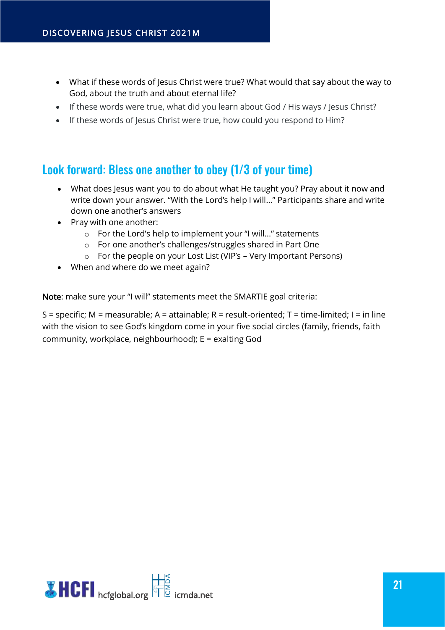- What if these words of Jesus Christ were true? What would that say about the way to God, about the truth and about eternal life?
- If these words were true, what did you learn about God / His ways / Jesus Christ?
- If these words of Jesus Christ were true, how could you respond to Him?

## <span id="page-20-0"></span>Look forward: Bless one another to obey (1/3 of your time)

- What does Jesus want you to do about what He taught you? Pray about it now and write down your answer. "With the Lord's help I will…" Participants share and write down one another's answers
- Pray with one another:
	- o For the Lord's help to implement your "I will…" statements
	- o For one another's challenges/struggles shared in Part One
	- o For the people on your Lost List (VIP's Very Important Persons)
- When and where do we meet again?

Note: make sure your "I will" statements meet the SMARTIE goal criteria:

S = specific; M = measurable; A = attainable; R = result-oriented; T = time-limited; I = in line with the vision to see God's kingdom come in your five social circles (family, friends, faith community, workplace, neighbourhood); E = exalting God

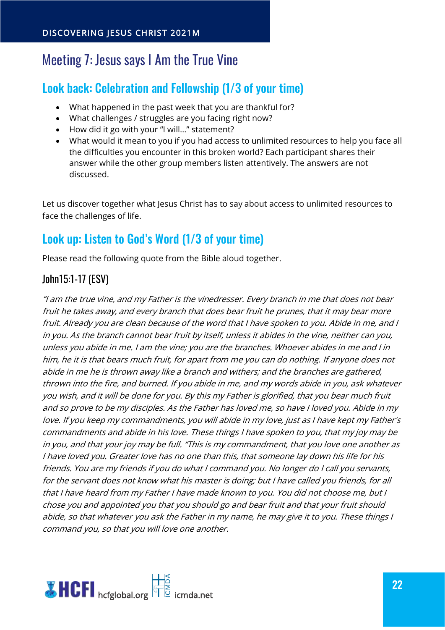# <span id="page-21-0"></span>Meeting 7: Jesus says I Am the True Vine

## <span id="page-21-1"></span>Look back: Celebration and Fellowship (1/3 of your time)

- What happened in the past week that you are thankful for?
- What challenges / struggles are you facing right now?
- How did it go with your "I will…" statement?
- What would it mean to you if you had access to unlimited resources to help you face all the difficulties you encounter in this broken world? Each participant shares their answer while the other group members listen attentively. The answers are not discussed.

Let us discover together what Jesus Christ has to say about access to unlimited resources to face the challenges of life.

# <span id="page-21-2"></span>Look up: Listen to God's Word (1/3 of your time)

Please read the following quote from the Bible aloud together.

## John15:1-17 (ESV)

"I am the true vine, and my Father is the vinedresser. Every branch in me that does not bear fruit he takes away, and every branch that does bear fruit he prunes, that it may bear more fruit. Already you are clean because of the word that I have spoken to you. Abide in me, and I in you. As the branch cannot bear fruit by itself, unless it abides in the vine, neither can you, unless you abide in me. I am the vine; you are the branches. Whoever abides in me and I in him, he it is that bears much fruit, for apart from me you can do nothing. If anyone does not abide in me he is thrown away like a branch and withers; and the branches are gathered, thrown into the fire, and burned. If you abide in me, and my words abide in you, ask whatever you wish, and it will be done for you. By this my Father is glorified, that you bear much fruit and so prove to be my disciples. As the Father has loved me, so have I loved you. Abide in my love. If you keep my commandments, you will abide in my love, just as I have kept my Father's commandments and abide in his love. These things I have spoken to you, that my joy may be in you, and that your joy may be full. "This is my commandment, that you love one another as I have loved you. Greater love has no one than this, that someone lay down his life for his friends. You are my friends if you do what I command you. No longer do I call you servants, for the servant does not know what his master is doing; but I have called you friends, for all that I have heard from my Father I have made known to you. You did not choose me, but I chose you and appointed you that you should go and bear fruit and that your fruit should abide, so that whatever you ask the Father in my name, he may give it to you. These things I command you, so that you will love one another.

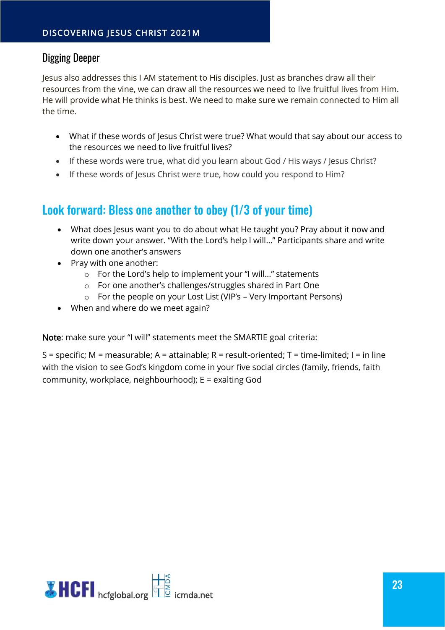#### Digging Deeper

Jesus also addresses this I AM statement to His disciples. Just as branches draw all their resources from the vine, we can draw all the resources we need to live fruitful lives from Him. He will provide what He thinks is best. We need to make sure we remain connected to Him all the time.

- What if these words of Jesus Christ were true? What would that say about our access to the resources we need to live fruitful lives?
- If these words were true, what did you learn about God / His ways / Jesus Christ?
- If these words of Jesus Christ were true, how could you respond to Him?

# <span id="page-22-0"></span>Look forward: Bless one another to obey (1/3 of your time)

- What does Jesus want you to do about what He taught you? Pray about it now and write down your answer. "With the Lord's help I will…" Participants share and write down one another's answers
- Pray with one another:
	- o For the Lord's help to implement your "I will…" statements
	- o For one another's challenges/struggles shared in Part One
	- o For the people on your Lost List (VIP's Very Important Persons)
- When and where do we meet again?

Note: make sure your "I will" statements meet the SMARTIE goal criteria:

S = specific; M = measurable; A = attainable; R = result-oriented; T = time-limited; I = in line with the vision to see God's kingdom come in your five social circles (family, friends, faith community, workplace, neighbourhood); E = exalting God

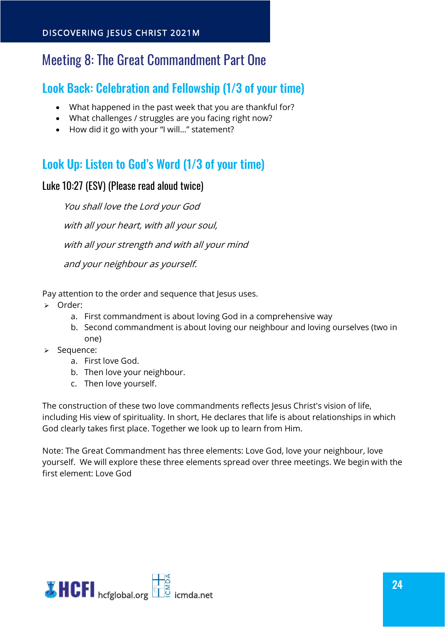# <span id="page-23-0"></span>Meeting 8: The Great Commandment Part One

# <span id="page-23-1"></span>Look Back: Celebration and Fellowship (1/3 of your time)

- What happened in the past week that you are thankful for?
- What challenges / struggles are you facing right now?
- How did it go with your "I will…" statement?

# <span id="page-23-2"></span>Look Up: Listen to God's Word (1/3 of your time)

#### Luke 10:27 (ESV) (Please read aloud twice)

You shall love the Lord your God with all your heart, with all your soul, with all your strength and with all your mind and your neighbour as yourself.

Pay attention to the order and sequence that Jesus uses.

- ➢ Order:
	- a. First commandment is about loving God in a comprehensive way
	- b. Second commandment is about loving our neighbour and loving ourselves (two in one)
- ➢ Sequence:
	- a. First love God.
	- b. Then love your neighbour.
	- c. Then love yourself.

The construction of these two love commandments reflects Jesus Christ's vision of life, including His view of spirituality. In short, He declares that life is about relationships in which God clearly takes first place. Together we look up to learn from Him.

Note: The Great Commandment has three elements: Love God, love your neighbour, love yourself. We will explore these three elements spread over three meetings. We begin with the first element: Love God

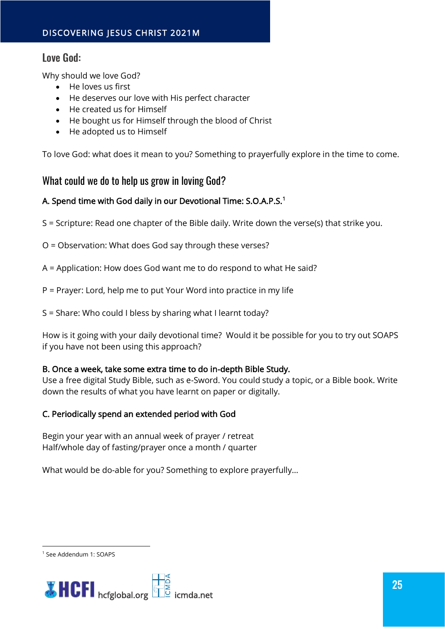#### Love God:

Why should we love God?

- He loves us first
- He deserves our love with His perfect character
- He created us for Himself
- He bought us for Himself through the blood of Christ
- He adopted us to Himself

To love God: what does it mean to you? Something to prayerfully explore in the time to come.

#### What could we do to help us grow in loving God?

#### A. Spend time with God daily in our Devotional Time: S.O.A.P.S. $^1$

S = Scripture: Read one chapter of the Bible daily. Write down the verse(s) that strike you.

- O = Observation: What does God say through these verses?
- A = Application: How does God want me to do respond to what He said?
- P = Prayer: Lord, help me to put Your Word into practice in my life
- S = Share: Who could I bless by sharing what I learnt today?

How is it going with your daily devotional time? Would it be possible for you to try out SOAPS if you have not been using this approach?

#### B. Once a week, take some extra time to do in-depth Bible Study.

Use a free digital Study Bible, such as e-Sword. You could study a topic, or a Bible book. Write down the results of what you have learnt on paper or digitally.

#### C. Periodically spend an extended period with God

Begin your year with an annual week of prayer / retreat Half/whole day of fasting/prayer once a month / quarter

What would be do-able for you? Something to explore prayerfully…

<sup>1</sup> See Addendum 1: SOAPS

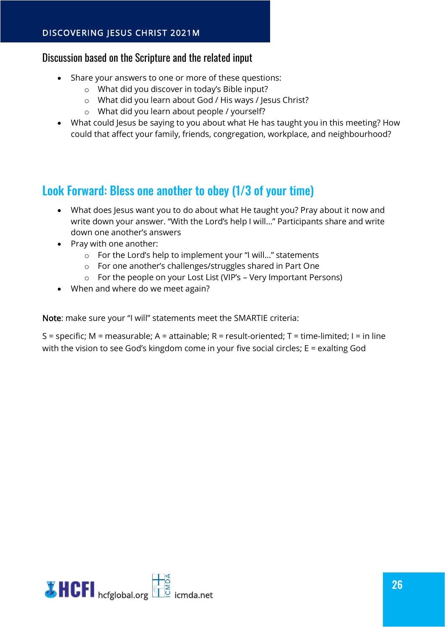#### Discussion based on the Scripture and the related input

- Share your answers to one or more of these questions:
	- o What did you discover in today's Bible input?
	- o What did you learn about God / His ways / Jesus Christ?
	- o What did you learn about people / yourself?
- What could Jesus be saying to you about what He has taught you in this meeting? How could that affect your family, friends, congregation, workplace, and neighbourhood?

# <span id="page-25-0"></span>Look Forward: Bless one another to obey (1/3 of your time)

- What does Jesus want you to do about what He taught you? Pray about it now and write down your answer. "With the Lord's help I will…" Participants share and write down one another's answers
- Pray with one another:
	- o For the Lord's help to implement your "I will…" statements
	- o For one another's challenges/struggles shared in Part One
	- o For the people on your Lost List (VIP's Very Important Persons)
- When and where do we meet again?

Note: make sure your "I will" statements meet the SMARTIE criteria:

S = specific; M = measurable; A = attainable; R = result-oriented; T = time-limited; I = in line with the vision to see God's kingdom come in your five social circles; E = exalting God

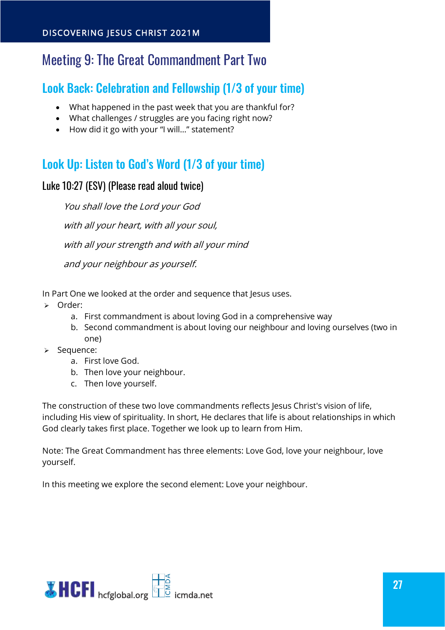# <span id="page-26-0"></span>Meeting 9: The Great Commandment Part Two

## <span id="page-26-1"></span>Look Back: Celebration and Fellowship (1/3 of your time)

- What happened in the past week that you are thankful for?
- What challenges / struggles are you facing right now?
- How did it go with your "I will…" statement?

# <span id="page-26-2"></span>Look Up: Listen to God's Word (1/3 of your time)

#### Luke 10:27 (ESV) (Please read aloud twice)

You shall love the Lord your God with all your heart, with all your soul, with all your strength and with all your mind and your neighbour as yourself.

In Part One we looked at the order and sequence that Jesus uses.

- ➢ Order:
	- a. First commandment is about loving God in a comprehensive way
	- b. Second commandment is about loving our neighbour and loving ourselves (two in one)
- ➢ Sequence:
	- a. First love God.
	- b. Then love your neighbour.
	- c. Then love yourself.

The construction of these two love commandments reflects Jesus Christ's vision of life, including His view of spirituality. In short, He declares that life is about relationships in which God clearly takes first place. Together we look up to learn from Him.

Note: The Great Commandment has three elements: Love God, love your neighbour, love yourself.

In this meeting we explore the second element: Love your neighbour.

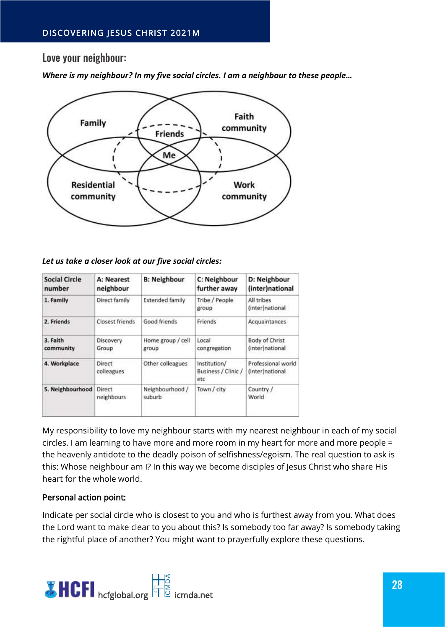Love your neighbour:

*Where is my neighbour? In my five social circles. I am a neighbour to these people…*



*Let us take a closer look at our five social circles:* 

| A: Nearest<br>neighbour | <b>B: Neighbour</b>        | C: Neighbour<br>further away               | D: Neighbour<br>(inter)national       |
|-------------------------|----------------------------|--------------------------------------------|---------------------------------------|
| Direct family           | <b>Extended family</b>     | Tribe / People<br>group                    | All tribes<br>(inter)national         |
| <b>Closest friends</b>  | Good friends               | Friends                                    | Acquaintances                         |
| Discovery<br>Group      | Home group / cell<br>group | Local<br>congregation                      | Body of Christ<br>(inter)national     |
| Direct<br>colleagues    | Other colleagues           | Institution/<br>Business / Clinic /<br>etc | Professional world<br>(inter)national |
| Direct<br>neighbours    | Neighbourhood /<br>suburb  | Town / city                                | Country /<br>World                    |
|                         |                            |                                            |                                       |

My responsibility to love my neighbour starts with my nearest neighbour in each of my social circles. I am learning to have more and more room in my heart for more and more people = the heavenly antidote to the deadly poison of selfishness/egoism. The real question to ask is this: Whose neighbour am I? In this way we become disciples of Jesus Christ who share His heart for the whole world.

#### Personal action point:

Indicate per social circle who is closest to you and who is furthest away from you. What does the Lord want to make clear to you about this? Is somebody too far away? Is somebody taking the rightful place of another? You might want to prayerfully explore these questions.

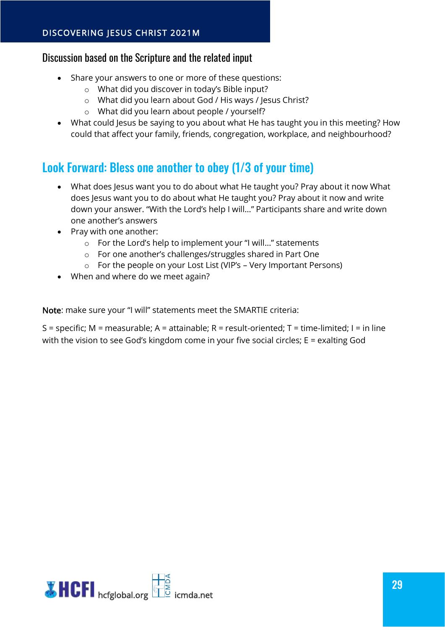#### Discussion based on the Scripture and the related input

- Share your answers to one or more of these questions:
	- o What did you discover in today's Bible input?
	- o What did you learn about God / His ways / Jesus Christ?
	- o What did you learn about people / yourself?
- What could Jesus be saying to you about what He has taught you in this meeting? How could that affect your family, friends, congregation, workplace, and neighbourhood?

## <span id="page-28-0"></span>Look Forward: Bless one another to obey (1/3 of your time)

- What does Jesus want you to do about what He taught you? Pray about it now What does Jesus want you to do about what He taught you? Pray about it now and write down your answer. "With the Lord's help I will…" Participants share and write down one another's answers
- Pray with one another:
	- o For the Lord's help to implement your "I will…" statements
	- o For one another's challenges/struggles shared in Part One
	- $\circ$  For the people on your Lost List (VIP's Very Important Persons)
- When and where do we meet again?

Note: make sure your "I will" statements meet the SMARTIE criteria:

S = specific; M = measurable; A = attainable; R = result-oriented; T = time-limited; I = in line with the vision to see God's kingdom come in your five social circles; E = exalting God

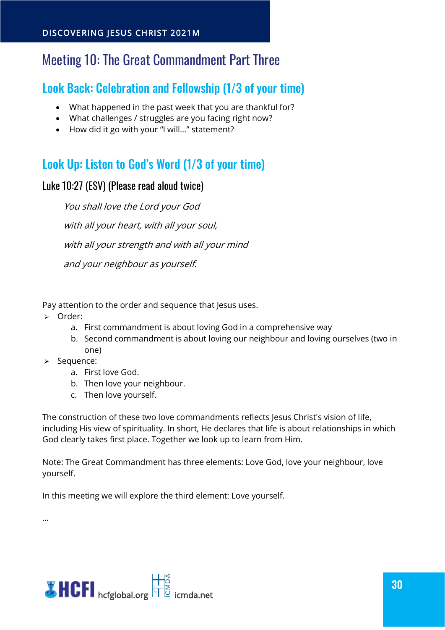# <span id="page-29-0"></span>Meeting 10: The Great Commandment Part Three

# <span id="page-29-1"></span>Look Back: Celebration and Fellowship (1/3 of your time)

- What happened in the past week that you are thankful for?
- What challenges / struggles are you facing right now?
- How did it go with your "I will…" statement?

# <span id="page-29-2"></span>Look Up: Listen to God's Word (1/3 of your time)

#### Luke 10:27 (ESV) (Please read aloud twice)

You shall love the Lord your God with all your heart, with all your soul, with all your strength and with all your mind and your neighbour as yourself.

Pay attention to the order and sequence that Jesus uses.

- ➢ Order:
	- a. First commandment is about loving God in a comprehensive way
	- b. Second commandment is about loving our neighbour and loving ourselves (two in one)
- ➢ Sequence:

…

- a. First love God.
- b. Then love your neighbour.
- c. Then love yourself.

The construction of these two love commandments reflects Jesus Christ's vision of life, including His view of spirituality. In short, He declares that life is about relationships in which God clearly takes first place. Together we look up to learn from Him.

Note: The Great Commandment has three elements: Love God, love your neighbour, love yourself.

In this meeting we will explore the third element: Love yourself.

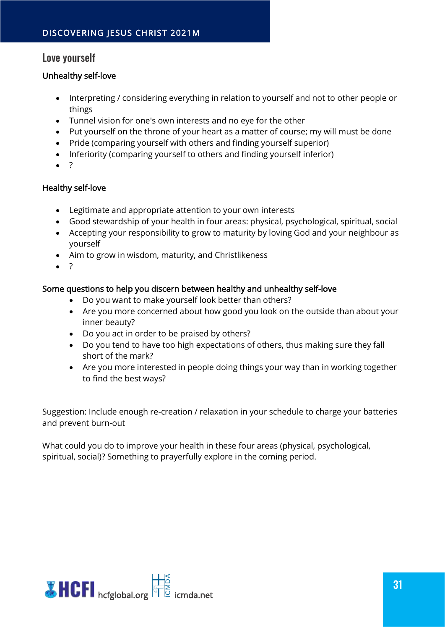#### Love yourself

#### Unhealthy self-love

- Interpreting / considering everything in relation to yourself and not to other people or things
- Tunnel vision for one's own interests and no eye for the other
- Put yourself on the throne of your heart as a matter of course; my will must be done
- Pride (comparing yourself with others and finding yourself superior)
- Inferiority (comparing yourself to others and finding yourself inferior)
- ?

#### Healthy self-love

- Legitimate and appropriate attention to your own interests
- Good stewardship of your health in four areas: physical, psychological, spiritual, social
- Accepting your responsibility to grow to maturity by loving God and your neighbour as yourself
- Aim to grow in wisdom, maturity, and Christlikeness
- ?

#### Some questions to help you discern between healthy and unhealthy self-love

- Do you want to make yourself look better than others?
- Are you more concerned about how good you look on the outside than about your inner beauty?
- Do you act in order to be praised by others?
- Do you tend to have too high expectations of others, thus making sure they fall short of the mark?
- Are you more interested in people doing things your way than in working together to find the best ways?

Suggestion: Include enough re-creation / relaxation in your schedule to charge your batteries and prevent burn-out

What could you do to improve your health in these four areas (physical, psychological, spiritual, social)? Something to prayerfully explore in the coming period.

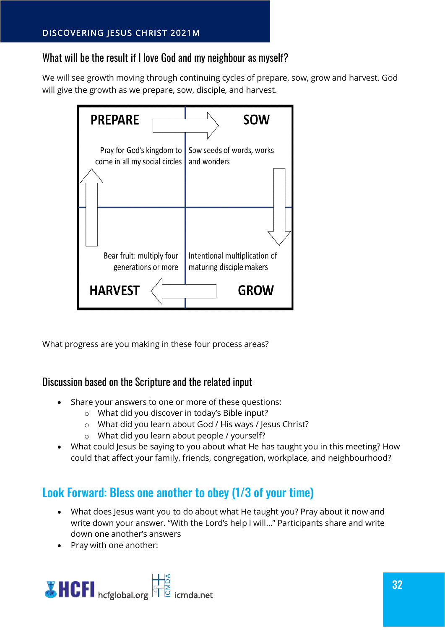### What will be the result if I love God and my neighbour as myself?

We will see growth moving through continuing cycles of prepare, sow, grow and harvest. God will give the growth as we prepare, sow, disciple, and harvest.



What progress are you making in these four process areas?

#### Discussion based on the Scripture and the related input

- Share your answers to one or more of these questions:
	- o What did you discover in today's Bible input?
	- o What did you learn about God / His ways / Jesus Christ?
	- o What did you learn about people / yourself?
- What could Jesus be saying to you about what He has taught you in this meeting? How could that affect your family, friends, congregation, workplace, and neighbourhood?

# <span id="page-31-0"></span>Look Forward: Bless one another to obey (1/3 of your time)

- What does Jesus want you to do about what He taught you? Pray about it now and write down your answer. "With the Lord's help I will…" Participants share and write down one another's answers
- Pray with one another:

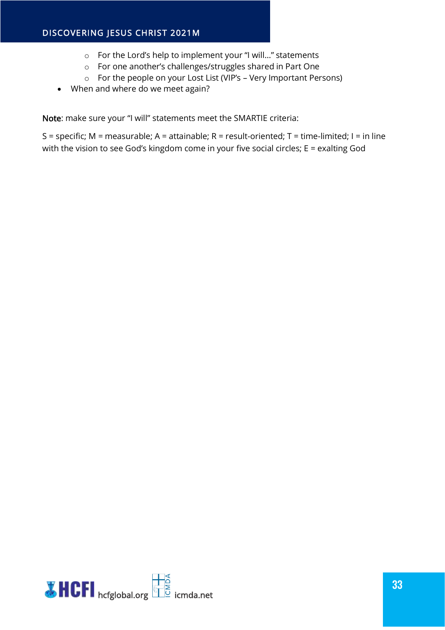- o For the Lord's help to implement your "I will…" statements
- o For one another's challenges/struggles shared in Part One
- o For the people on your Lost List (VIP's Very Important Persons)
- When and where do we meet again?

Note: make sure your "I will" statements meet the SMARTIE criteria:

S = specific; M = measurable; A = attainable; R = result-oriented; T = time-limited; I = in line with the vision to see God's kingdom come in your five social circles; E = exalting God

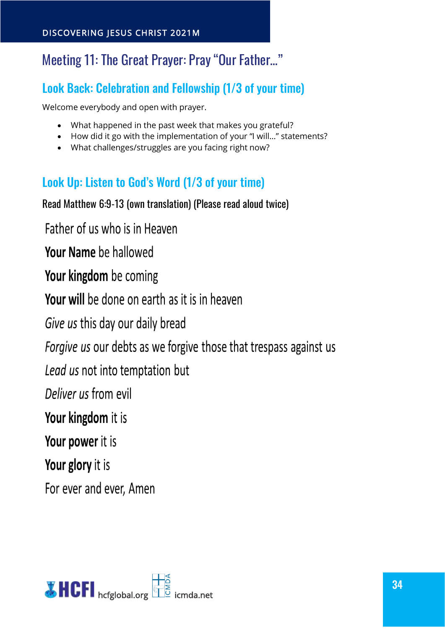# <span id="page-33-0"></span>Meeting 11: The Great Prayer: Pray "Our Father…"

# <span id="page-33-1"></span>Look Back: Celebration and Fellowship (1/3 of your time)

Welcome everybody and open with prayer.

- What happened in the past week that makes you grateful?
- How did it go with the implementation of your "I will…" statements?
- What challenges/struggles are you facing right now?

## <span id="page-33-2"></span>Look Up: Listen to God's Word (1/3 of your time)

Read Matthew 6:9-13 (own translation) (Please read aloud twice)

Father of us who is in Heaven

Your Name be hallowed

Your kingdom be coming

Your will be done on earth as it is in heaven

Give us this day our daily bread

Forgive us our debts as we forgive those that trespass against us

Lead us not into temptation but

Deliver us from evil

Your kingdom it is

Your power it is

Your glory it is

For ever and ever, Amen

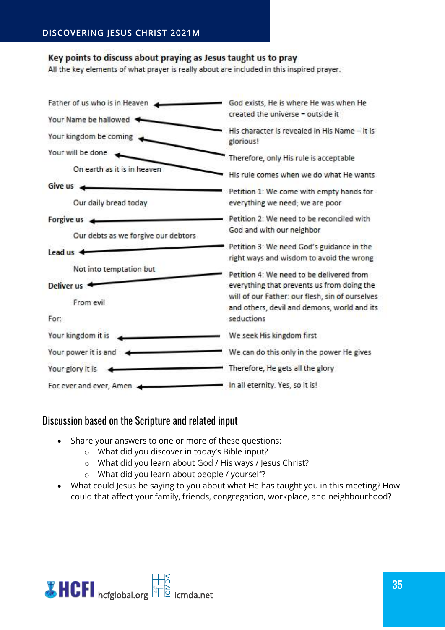#### Key points to discuss about praying as Jesus taught us to pray

All the key elements of what prayer is really about are included in this inspired prayer.

| Father of us who is in Heaven       | God exists, He is where He was when He                                                         |
|-------------------------------------|------------------------------------------------------------------------------------------------|
| Your Name be hallowed               | created the universe = outside it                                                              |
| Your kingdom be coming              | His character is revealed in His Name - it is<br>glorious!                                     |
| Your will be done                   | Therefore, only His rule is acceptable                                                         |
| On earth as it is in heaven         | His rule comes when we do what He wants                                                        |
| Give us                             | Petition 1: We come with empty hands for                                                       |
| Our daily bread today               | everything we need; we are poor                                                                |
| Forgive us                          | Petition 2: We need to be reconciled with                                                      |
| Our debts as we forgive our debtors | God and with our neighbor                                                                      |
| Lead us -                           | Petition 3: We need God's guidance in the<br>right ways and wisdom to avoid the wrong          |
| Not into temptation but             | Petition 4: We need to be delivered from                                                       |
| Deliver us                          | everything that prevents us from doing the                                                     |
| From evil                           | will of our Father: our flesh, sin of ourselves<br>and others, devil and demons, world and its |
| For:                                | seductions                                                                                     |
| Your kingdom it is                  | We seek His kingdom first                                                                      |
| Your power it is and                | We can do this only in the power He gives                                                      |
| Your glory it is                    | Therefore, He gets all the glory                                                               |
| For ever and ever, Amen.            | In all eternity. Yes, so it is!                                                                |

#### Discussion based on the Scripture and related input

- Share your answers to one or more of these questions:
	- o What did you discover in today's Bible input?
	- o What did you learn about God / His ways / Jesus Christ?
	- o What did you learn about people / yourself?
- What could Jesus be saying to you about what He has taught you in this meeting? How could that affect your family, friends, congregation, workplace, and neighbourhood?

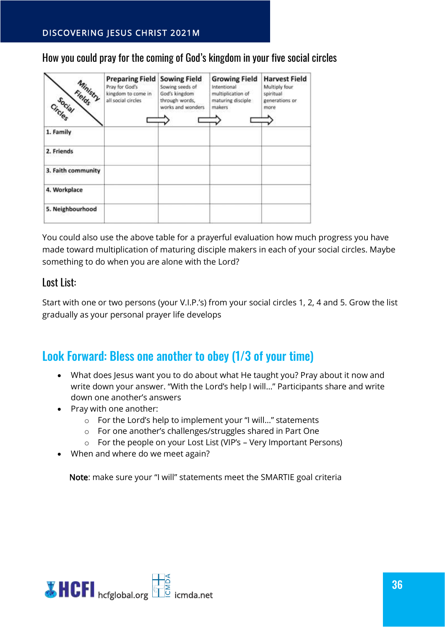#### DISCOVERING JESUS CHRIST 2021M

How you could pray for the coming of God's kingdom in your five social circles

| <b>Ministry</b><br>Pray for God's<br>kingdom to come in<br>all social circles | <b>Sowing Field</b><br>Sowing seeds of<br>God's kingdom<br>through words,<br>works and wonders | <b>Growing Field</b><br>Intentional<br>multiplication of<br>maturing disciple<br>makers | <b>Harvest Field</b><br>Multiply four<br>spiritual<br>generations or<br>more |
|-------------------------------------------------------------------------------|------------------------------------------------------------------------------------------------|-----------------------------------------------------------------------------------------|------------------------------------------------------------------------------|
|                                                                               |                                                                                                |                                                                                         |                                                                              |
|                                                                               |                                                                                                |                                                                                         |                                                                              |
|                                                                               |                                                                                                |                                                                                         |                                                                              |
|                                                                               |                                                                                                |                                                                                         |                                                                              |
|                                                                               |                                                                                                |                                                                                         |                                                                              |
|                                                                               |                                                                                                | <b>Preparing Field</b>                                                                  |                                                                              |

You could also use the above table for a prayerful evaluation how much progress you have made toward multiplication of maturing disciple makers in each of your social circles. Maybe something to do when you are alone with the Lord?

#### Lost List:

Start with one or two persons (your V.I.P.'s) from your social circles 1, 2, 4 and 5. Grow the list gradually as your personal prayer life develops

## <span id="page-35-0"></span>Look Forward: Bless one another to obey (1/3 of your time)

- What does Jesus want you to do about what He taught you? Pray about it now and write down your answer. "With the Lord's help I will…" Participants share and write down one another's answers
- Pray with one another:
	- o For the Lord's help to implement your "I will…" statements
	- o For one another's challenges/struggles shared in Part One
	- o For the people on your Lost List (VIP's Very Important Persons)
- When and where do we meet again?

Note: make sure your "I will" statements meet the SMARTIE goal criteria

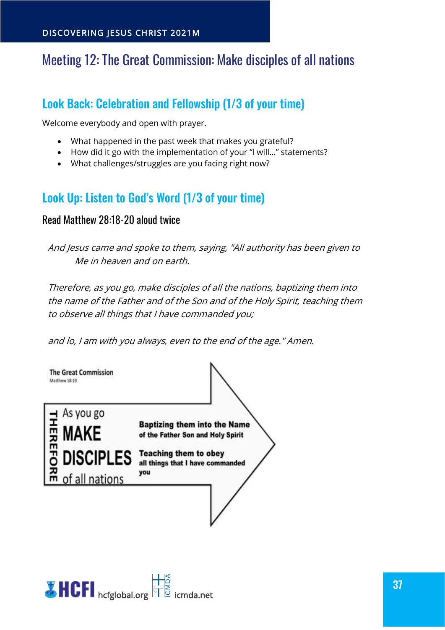# <span id="page-36-0"></span>Meeting 12: The Great Commission: Make disciples of all nations

## <span id="page-36-1"></span>Look Back: Celebration and Fellowship (1/3 of your time)

Welcome everybody and open with prayer.

- What happened in the past week that makes you grateful?
- How did it go with the implementation of your "I will..." statements?
- What challenges/struggles are you facing right now?

# <span id="page-36-2"></span>Look Up: Listen to God's Word (1/3 of your time)

#### Read Matthew 28:18-20 aloud twice

And Jesus came and spoke to them, saying, "All authority has been given to Me in heaven and on earth.

Therefore, as you go, make disciples of all the nations, baptizing them into the name of the Father and of the Son and of the Holy Spirit, teaching them to observe all things that I have commanded you;

and lo, I am with you always, even to the end of the age." Amen.



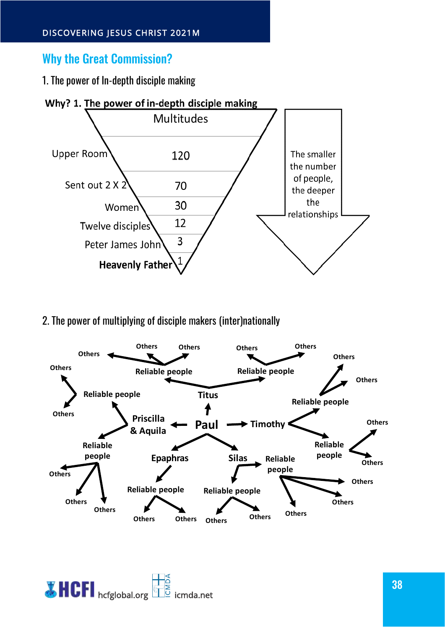# <span id="page-37-0"></span>Why the Great Commission?

1. The power of In-depth disciple making



## 2. The power of multiplying of disciple makers (inter)nationally



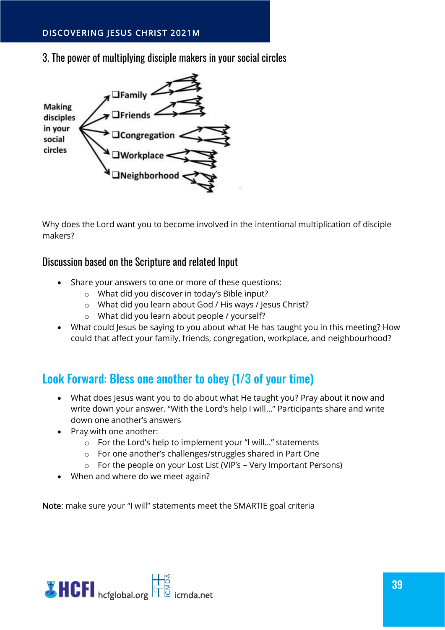3. The power of multiplying disciple makers in your social circles



Why does the Lord want you to become involved in the intentional multiplication of disciple makers?

#### Discussion based on the Scripture and related Input

- Share your answers to one or more of these questions:
	- o What did you discover in today's Bible input?
	- o What did you learn about God / His ways / Jesus Christ?
	- o What did you learn about people / yourself?
- What could Jesus be saying to you about what He has taught you in this meeting? How could that affect your family, friends, congregation, workplace, and neighbourhood?

## <span id="page-38-0"></span>Look Forward: Bless one another to obey (1/3 of your time)

- What does Jesus want you to do about what He taught you? Pray about it now and write down your answer. "With the Lord's help I will…" Participants share and write down one another's answers
- Pray with one another:
	- o For the Lord's help to implement your "I will…" statements
	- o For one another's challenges/struggles shared in Part One
	- o For the people on your Lost List (VIP's Very Important Persons)
- When and where do we meet again?

Note: make sure your "I will" statements meet the SMARTIE goal criteria

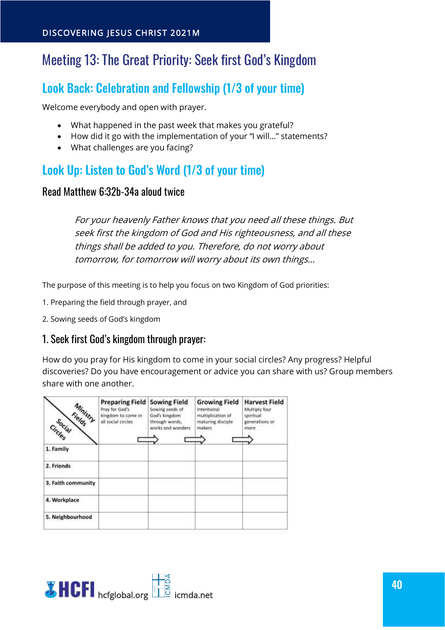# <span id="page-39-0"></span>Meeting 13: The Great Priority: Seek first God's Kingdom

# <span id="page-39-1"></span>Look Back: Celebration and Fellowship (1/3 of your time)

Welcome everybody and open with prayer.

- What happened in the past week that makes you grateful?
- How did it go with the implementation of your "I will…" statements?
- What challenges are you facing?

# <span id="page-39-2"></span>Look Up: Listen to God's Word (1/3 of your time)

#### Read Matthew 6:32b-34a aloud twice

For your heavenly Father knows that you need all these things. But seek first the kingdom of God and His righteousness, and all these things shall be added to you. Therefore, do not worry about tomorrow, for tomorrow will worry about its own things…

The purpose of this meeting is to help you focus on two Kingdom of God priorities:

- 1. Preparing the field through prayer, and
- 2. Sowing seeds of God's kingdom

#### 1. Seek first God's kingdom through prayer:

How do you pray for His kingdom to come in your social circles? Any progress? Helpful discoveries? Do you have encouragement or advice you can share with us? Group members share with one another.

| <b>Ministry</b><br>Circles | <b>Preparing Field</b><br>Pray for God's<br>kingdom to come in<br>all social circles | <b>Sowing Field</b><br>Sowing seeds of<br>God's kingdom<br>through words,<br>works and wonders | <b>Growing Field</b><br>Intentional<br>multiplication of<br>maturing disciple<br>makers: | <b>Harvest Field</b><br>Multiply four<br>spiritual<br>generations or<br>more |
|----------------------------|--------------------------------------------------------------------------------------|------------------------------------------------------------------------------------------------|------------------------------------------------------------------------------------------|------------------------------------------------------------------------------|
| 1. Family<br>2. Friends    |                                                                                      |                                                                                                |                                                                                          |                                                                              |
| 3. Faith community         |                                                                                      |                                                                                                |                                                                                          |                                                                              |
| 4. Workplace               |                                                                                      |                                                                                                |                                                                                          |                                                                              |
| 5. Neighbourhood           |                                                                                      |                                                                                                |                                                                                          |                                                                              |

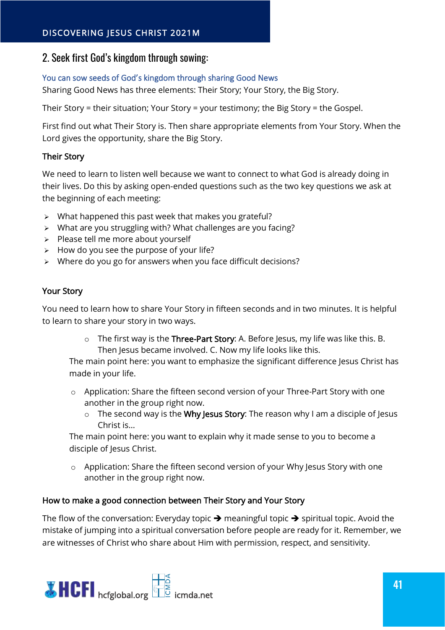#### 2. Seek first God's kingdom through sowing:

#### You can sow seeds of God's kingdom through sharing Good News

Sharing Good News has three elements: Their Story; Your Story, the Big Story.

Their Story = their situation; Your Story = your testimony; the Big Story = the Gospel.

First find out what Their Story is. Then share appropriate elements from Your Story. When the Lord gives the opportunity, share the Big Story.

#### Their Story

We need to learn to listen well because we want to connect to what God is already doing in their lives. Do this by asking open-ended questions such as the two key questions we ask at the beginning of each meeting:

- ➢ What happened this past week that makes you grateful?
- ➢ What are you struggling with? What challenges are you facing?
- ➢ Please tell me more about yourself
- $\triangleright$  How do you see the purpose of your life?
- ➢ Where do you go for answers when you face difficult decisions?

#### Your Story

You need to learn how to share Your Story in fifteen seconds and in two minutes. It is helpful to learn to share your story in two ways.

> o The first way is the Three-Part Story: A. Before Jesus, my life was like this. B. Then Jesus became involved. C. Now my life looks like this.

The main point here: you want to emphasize the significant difference Jesus Christ has made in your life.

- o Application: Share the fifteen second version of your Three-Part Story with one another in the group right now.
	- $\circ$  The second way is the Why Jesus Story: The reason why I am a disciple of Jesus Christ is…

The main point here: you want to explain why it made sense to you to become a disciple of Jesus Christ.

o Application: Share the fifteen second version of your Why Jesus Story with one another in the group right now.

#### How to make a good connection between Their Story and Your Story

The flow of the conversation: Everyday topic  $\rightarrow$  meaningful topic  $\rightarrow$  spiritual topic. Avoid the mistake of jumping into a spiritual conversation before people are ready for it. Remember, we are witnesses of Christ who share about Him with permission, respect, and sensitivity.

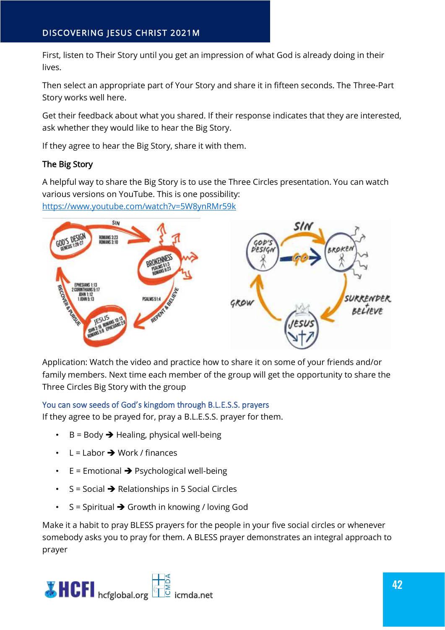First, listen to Their Story until you get an impression of what God is already doing in their lives.

Then select an appropriate part of Your Story and share it in fifteen seconds. The Three-Part Story works well here.

Get their feedback about what you shared. If their response indicates that they are interested, ask whether they would like to hear the Big Story.

If they agree to hear the Big Story, share it with them.

#### The Big Story

A helpful way to share the Big Story is to use the Three Circles presentation. You can watch various versions on YouTube. This is one possibility: <https://www.youtube.com/watch?v=5W8ynRMr59k>



Application: Watch the video and practice how to share it on some of your friends and/or family members. Next time each member of the group will get the opportunity to share the Three Circles Big Story with the group

#### You can sow seeds of God's kingdom through B.L.E.S.S. prayers

If they agree to be prayed for, pray a B.L.E.S.S. prayer for them.

- $B = Body \rightarrow Health$  Healing, physical well-being
- $L =$  Labor  $\rightarrow$  Work / finances
- $\cdot$  E = Emotional  $\rightarrow$  Psychological well-being
- $\cdot$  S = Social  $\rightarrow$  Relationships in 5 Social Circles
- $S =$  Spiritual  $\rightarrow$  Growth in knowing / loving God

Make it a habit to pray BLESS prayers for the people in your five social circles or whenever somebody asks you to pray for them. A BLESS prayer demonstrates an integral approach to prayer

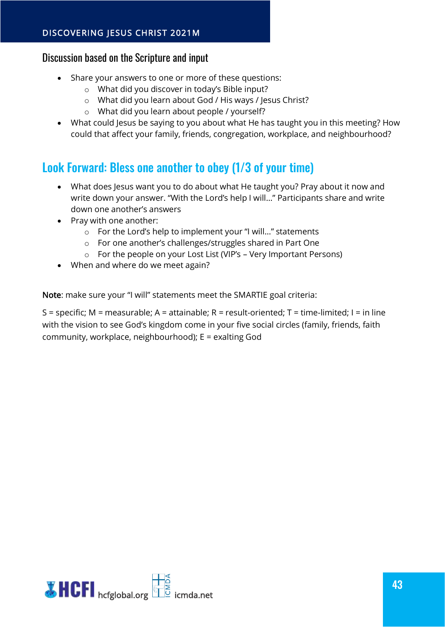#### Discussion based on the Scripture and input

- Share your answers to one or more of these questions:
	- o What did you discover in today's Bible input?
	- o What did you learn about God / His ways / Jesus Christ?
	- o What did you learn about people / yourself?
- What could Jesus be saying to you about what He has taught you in this meeting? How could that affect your family, friends, congregation, workplace, and neighbourhood?

## <span id="page-42-0"></span>Look Forward: Bless one another to obey (1/3 of your time)

- What does Jesus want you to do about what He taught you? Pray about it now and write down your answer. "With the Lord's help I will…" Participants share and write down one another's answers
- Pray with one another:
	- o For the Lord's help to implement your "I will…" statements
	- o For one another's challenges/struggles shared in Part One
	- o For the people on your Lost List (VIP's Very Important Persons)
- When and where do we meet again?

Note: make sure your "I will" statements meet the SMARTIE goal criteria:

S = specific; M = measurable; A = attainable; R = result-oriented; T = time-limited; I = in line with the vision to see God's kingdom come in your five social circles (family, friends, faith community, workplace, neighbourhood); E = exalting God

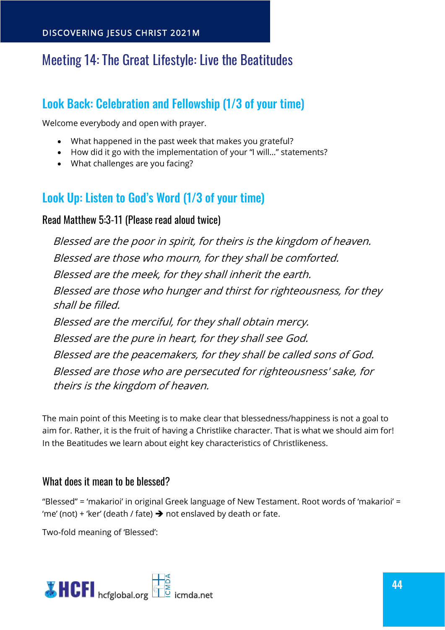# <span id="page-43-0"></span>Meeting 14: The Great Lifestyle: Live the Beatitudes

## <span id="page-43-1"></span>Look Back: Celebration and Fellowship (1/3 of your time)

Welcome everybody and open with prayer.

- What happened in the past week that makes you grateful?
- How did it go with the implementation of your "I will..." statements?
- What challenges are you facing?

# <span id="page-43-2"></span>Look Up: Listen to God's Word (1/3 of your time)

#### Read Matthew 5:3-11 (Please read aloud twice)

Blessed are the poor in spirit, for theirs is the kingdom of heaven. Blessed are those who mourn, for they shall be comforted. Blessed are the meek, for they shall inherit the earth. Blessed are those who hunger and thirst for righteousness, for they shall be filled. Blessed are the merciful, for they shall obtain mercy. Blessed are the pure in heart, for they shall see God. Blessed are the peacemakers, for they shall be called sons of God. Blessed are those who are persecuted for righteousness' sake, for theirs is the kingdom of heaven.

The main point of this Meeting is to make clear that blessedness/happiness is not a goal to aim for. Rather, it is the fruit of having a Christlike character. That is what we should aim for! In the Beatitudes we learn about eight key characteristics of Christlikeness.

#### What does it mean to be blessed?

"Blessed" = 'makarioi' in original Greek language of New Testament. Root words of 'makarioi' = 'me' (not) + 'ker' (death / fate)  $\rightarrow$  not enslaved by death or fate.

Two-fold meaning of 'Blessed':

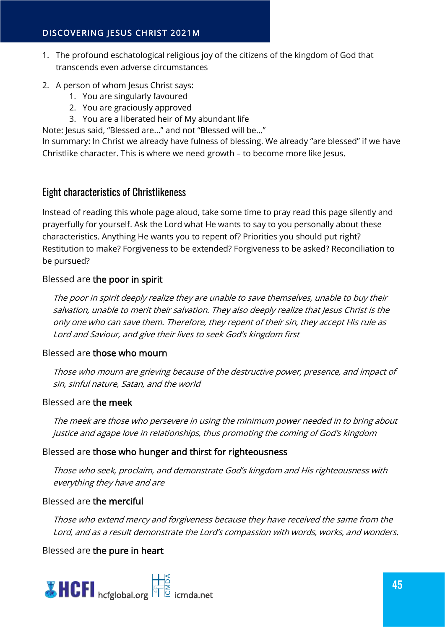- 1. The profound eschatological religious joy of the citizens of the kingdom of God that transcends even adverse circumstances
- 2. A person of whom Jesus Christ says:
	- 1. You are singularly favoured
	- 2. You are graciously approved
	- 3. You are a liberated heir of My abundant life

Note: Jesus said, "Blessed are…" and not "Blessed will be…"

In summary: In Christ we already have fulness of blessing. We already "are blessed" if we have Christlike character. This is where we need growth – to become more like Jesus.

#### Eight characteristics of Christlikeness

Instead of reading this whole page aloud, take some time to pray read this page silently and prayerfully for yourself. Ask the Lord what He wants to say to you personally about these characteristics. Anything He wants you to repent of? Priorities you should put right? Restitution to make? Forgiveness to be extended? Forgiveness to be asked? Reconciliation to be pursued?

#### Blessed are the poor in spirit

The poor in spirit deeply realize they are unable to save themselves, unable to buy their salvation, unable to merit their salvation. They also deeply realize that Jesus Christ is the only one who can save them. Therefore, they repent of their sin, they accept His rule as Lord and Saviour, and give their lives to seek God's kingdom first

#### Blessed are those who mourn

Those who mourn are grieving because of the destructive power, presence, and impact of sin, sinful nature, Satan, and the world

#### Blessed are the meek

The meek are those who persevere in using the minimum power needed in to bring about justice and agape love in relationships, thus promoting the coming of God's kingdom

#### Blessed are those who hunger and thirst for righteousness

Those who seek, proclaim, and demonstrate God's kingdom and His righteousness with everything they have and are

#### Blessed are the merciful

Those who extend mercy and forgiveness because they have received the same from the Lord, and as a result demonstrate the Lord's compassion with words, works, and wonders.

#### Blessed are the pure in heart

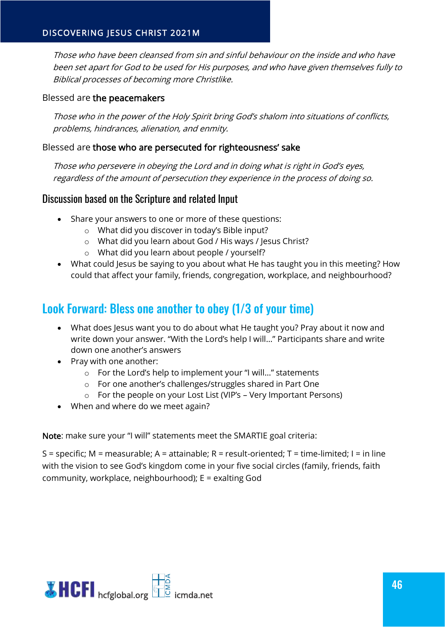Those who have been cleansed from sin and sinful behaviour on the inside and who have been set apart for God to be used for His purposes, and who have given themselves fully to Biblical processes of becoming more Christlike.

#### Blessed are the peacemakers

Those who in the power of the Holy Spirit bring God's shalom into situations of conflicts, problems, hindrances, alienation, and enmity.

#### Blessed are those who are persecuted for righteousness' sake

Those who persevere in obeying the Lord and in doing what is right in God's eyes, regardless of the amount of persecution they experience in the process of doing so.

#### Discussion based on the Scripture and related Input

- Share your answers to one or more of these questions:
	- o What did you discover in today's Bible input?
	- o What did you learn about God / His ways / Jesus Christ?
	- o What did you learn about people / yourself?
- What could Jesus be saying to you about what He has taught you in this meeting? How could that affect your family, friends, congregation, workplace, and neighbourhood?

## <span id="page-45-0"></span>Look Forward: Bless one another to obey (1/3 of your time)

- What does Jesus want you to do about what He taught you? Pray about it now and write down your answer. "With the Lord's help I will…" Participants share and write down one another's answers
- Pray with one another:
	- o For the Lord's help to implement your "I will…" statements
	- o For one another's challenges/struggles shared in Part One
	- o For the people on your Lost List (VIP's Very Important Persons)
- When and where do we meet again?

Note: make sure your "I will" statements meet the SMARTIE goal criteria:

S = specific; M = measurable; A = attainable; R = result-oriented; T = time-limited; I = in line with the vision to see God's kingdom come in your five social circles (family, friends, faith community, workplace, neighbourhood); E = exalting God

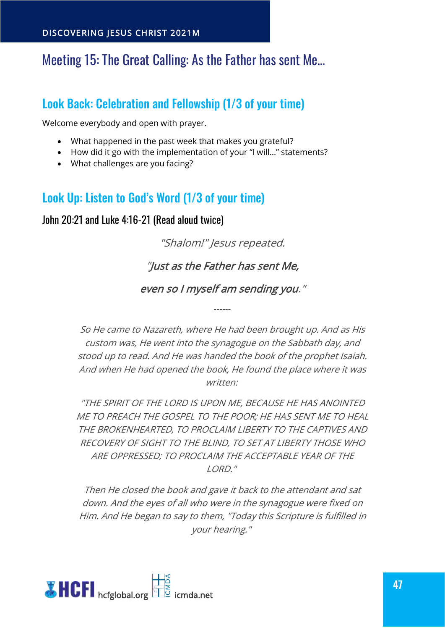# <span id="page-46-0"></span>Meeting 15: The Great Calling: As the Father has sent Me…

## <span id="page-46-1"></span>Look Back: Celebration and Fellowship (1/3 of your time)

Welcome everybody and open with prayer.

- What happened in the past week that makes you grateful?
- How did it go with the implementation of your "I will..." statements?
- What challenges are you facing?

# <span id="page-46-2"></span>Look Up: Listen to God's Word (1/3 of your time)

John 20:21 and Luke 4:16-21 (Read aloud twice)

"Shalom!" Jesus repeated.

### "Just as the Father has sent Me,

even so I myself am sending you."

------

So He came to Nazareth, where He had been brought up. And as His custom was, He went into the synagogue on the Sabbath day, and stood up to read. And He was handed the book of the prophet Isaiah. And when He had opened the book, He found the place where it was written:

"THE SPIRIT OF THE LORD IS UPON ME, BECAUSE HE HAS ANOINTED ME TO PREACH THE GOSPEL TO THE POOR; HE HAS SENT ME TO HEAL THE BROKENHEARTED, TO PROCLAIM LIBERTY TO THE CAPTIVES AND RECOVERY OF SIGHT TO THE BLIND, TO SET AT LIBERTY THOSE WHO ARE OPPRESSED; TO PROCLAIM THE ACCEPTABLE YEAR OF THE LORD."

Then He closed the book and gave it back to the attendant and sat down. And the eyes of all who were in the synagogue were fixed on Him. And He began to say to them, "Today this Scripture is fulfilled in your hearing."

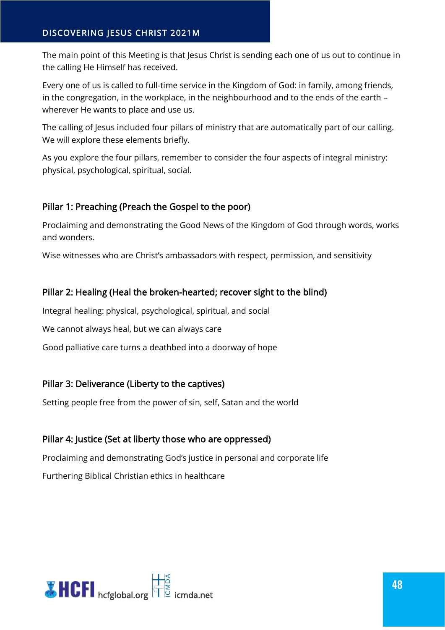#### DISCOVERING JESUS CHRIST 2021M

The main point of this Meeting is that Jesus Christ is sending each one of us out to continue in the calling He Himself has received.

Every one of us is called to full-time service in the Kingdom of God: in family, among friends, in the congregation, in the workplace, in the neighbourhood and to the ends of the earth – wherever He wants to place and use us.

The calling of Jesus included four pillars of ministry that are automatically part of our calling. We will explore these elements briefly.

As you explore the four pillars, remember to consider the four aspects of integral ministry: physical, psychological, spiritual, social.

#### Pillar 1: Preaching (Preach the Gospel to the poor)

Proclaiming and demonstrating the Good News of the Kingdom of God through words, works and wonders.

Wise witnesses who are Christ's ambassadors with respect, permission, and sensitivity

#### Pillar 2: Healing (Heal the broken-hearted; recover sight to the blind)

Integral healing: physical, psychological, spiritual, and social

We cannot always heal, but we can always care

Good palliative care turns a deathbed into a doorway of hope

#### Pillar 3: Deliverance (Liberty to the captives)

Setting people free from the power of sin, self, Satan and the world

#### Pillar 4: Justice (Set at liberty those who are oppressed)

Proclaiming and demonstrating God's justice in personal and corporate life Furthering Biblical Christian ethics in healthcare

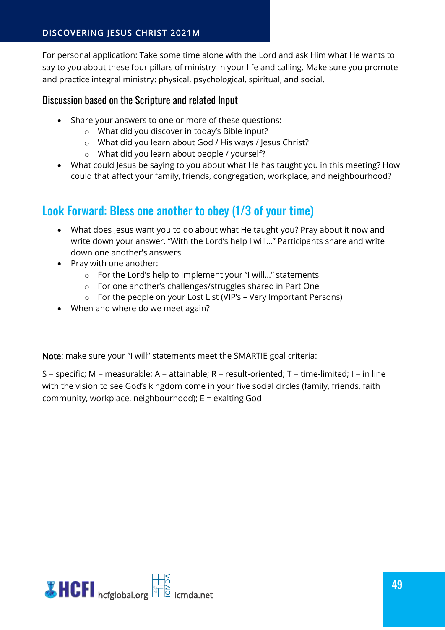#### DISCOVERING JESUS CHRIST 2021M

For personal application: Take some time alone with the Lord and ask Him what He wants to say to you about these four pillars of ministry in your life and calling. Make sure you promote and practice integral ministry: physical, psychological, spiritual, and social.

#### Discussion based on the Scripture and related Input

- Share your answers to one or more of these questions:
	- o What did you discover in today's Bible input?
	- o What did you learn about God / His ways / Jesus Christ?
	- o What did you learn about people / yourself?
- What could Jesus be saying to you about what He has taught you in this meeting? How could that affect your family, friends, congregation, workplace, and neighbourhood?

## <span id="page-48-0"></span>Look Forward: Bless one another to obey (1/3 of your time)

- What does Jesus want you to do about what He taught you? Pray about it now and write down your answer. "With the Lord's help I will…" Participants share and write down one another's answers
- Pray with one another:
	- o For the Lord's help to implement your "I will…" statements
	- o For one another's challenges/struggles shared in Part One
	- $\circ$  For the people on your Lost List (VIP's Very Important Persons)
- When and where do we meet again?

Note: make sure your "I will" statements meet the SMARTIE goal criteria:

S = specific; M = measurable; A = attainable; R = result-oriented; T = time-limited; I = in line with the vision to see God's kingdom come in your five social circles (family, friends, faith community, workplace, neighbourhood); E = exalting God

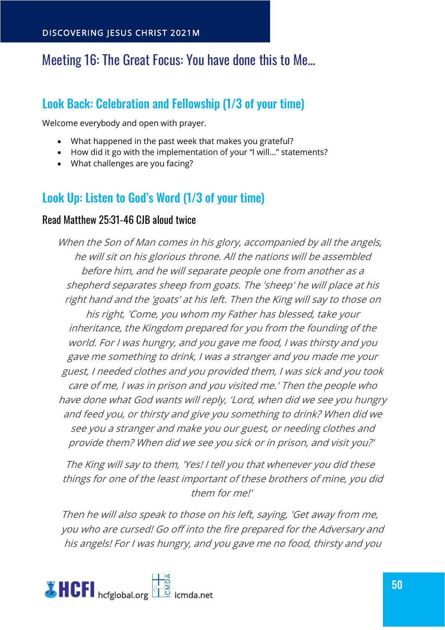# <span id="page-49-0"></span>Meeting 16: The Great Focus: You have done this to Me…

## <span id="page-49-1"></span>Look Back: Celebration and Fellowship (1/3 of your time)

Welcome everybody and open with prayer.

- What happened in the past week that makes you grateful?
- How did it go with the implementation of your "I will..." statements?
- What challenges are you facing?

# <span id="page-49-2"></span>Look Up: Listen to God's Word (1/3 of your time)

#### Read Matthew 25:31-46 CJB aloud twice

When the Son of Man comes in his glory, accompanied by all the angels, he will sit on his glorious throne. All the nations will be assembled before him, and he will separate people one from another as a shepherd separates sheep from goats. The 'sheep' he will place at his right hand and the 'goats' at his left. Then the King will say to those on his right, 'Come, you whom my Father has blessed, take your inheritance, the Kingdom prepared for you from the founding of the world. For I was hungry, and you gave me food, I was thirsty and you gave me something to drink, I was a stranger and you made me your guest, I needed clothes and you provided them, I was sick and you took care of me, I was in prison and you visited me.' Then the people who have done what God wants will reply, 'Lord, when did we see you hungry and feed you, or thirsty and give you something to drink? When did we see you a stranger and make you our guest, or needing clothes and provide them? When did we see you sick or in prison, and visit you?'

The King will say to them, 'Yes! I tell you that whenever you did these things for one of the least important of these brothers of mine, you did them for me!'

Then he will also speak to those on his left, saying, 'Get away from me, you who are cursed! Go off into the fire prepared for the Adversary and his angels! For I was hungry, and you gave me no food, thirsty and you

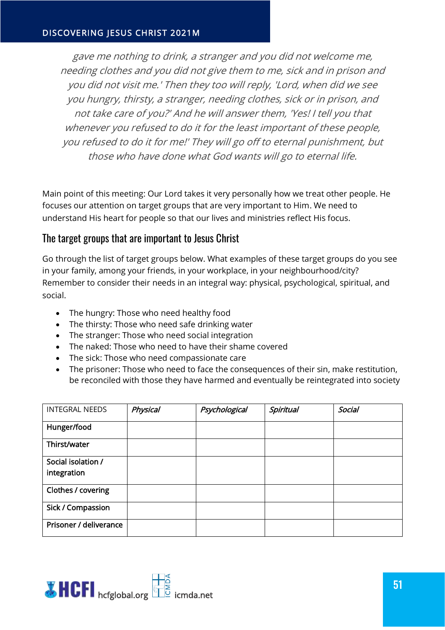gave me nothing to drink, a stranger and you did not welcome me, needing clothes and you did not give them to me, sick and in prison and you did not visit me.' Then they too will reply, 'Lord, when did we see you hungry, thirsty, a stranger, needing clothes, sick or in prison, and not take care of you?' And he will answer them, 'Yes! I tell you that whenever you refused to do it for the least important of these people, you refused to do it for me!' They will go off to eternal punishment, but those who have done what God wants will go to eternal life.

Main point of this meeting: Our Lord takes it very personally how we treat other people. He focuses our attention on target groups that are very important to Him. We need to understand His heart for people so that our lives and ministries reflect His focus.

#### The target groups that are important to Jesus Christ

Go through the list of target groups below. What examples of these target groups do you see in your family, among your friends, in your workplace, in your neighbourhood/city? Remember to consider their needs in an integral way: physical, psychological, spiritual, and social.

- The hungry: Those who need healthy food
- The thirsty: Those who need safe drinking water
- The stranger: Those who need social integration
- The naked: Those who need to have their shame covered
- The sick: Those who need compassionate care
- The prisoner: Those who need to face the consequences of their sin, make restitution, be reconciled with those they have harmed and eventually be reintegrated into society

| <b>INTEGRAL NEEDS</b>             | Physical | Psychological | Spiritual | <b>Social</b> |
|-----------------------------------|----------|---------------|-----------|---------------|
| Hunger/food                       |          |               |           |               |
| Thirst/water                      |          |               |           |               |
| Social isolation /<br>integration |          |               |           |               |
| Clothes / covering                |          |               |           |               |
| Sick / Compassion                 |          |               |           |               |
| Prisoner / deliverance            |          |               |           |               |

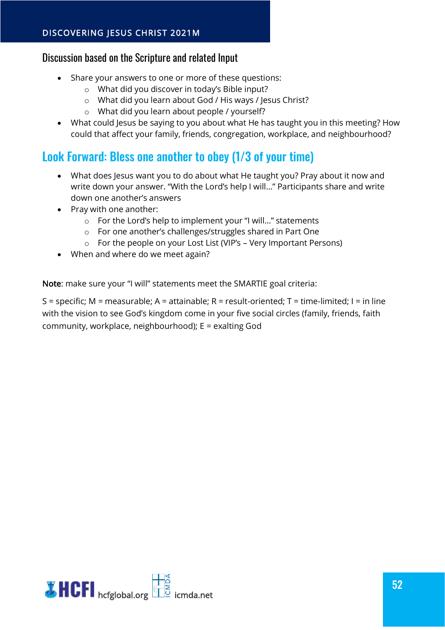#### Discussion based on the Scripture and related Input

- Share your answers to one or more of these questions:
	- o What did you discover in today's Bible input?
	- o What did you learn about God / His ways / Jesus Christ?
	- o What did you learn about people / yourself?
- What could Jesus be saying to you about what He has taught you in this meeting? How could that affect your family, friends, congregation, workplace, and neighbourhood?

## <span id="page-51-0"></span>Look Forward: Bless one another to obey (1/3 of your time)

- What does Jesus want you to do about what He taught you? Pray about it now and write down your answer. "With the Lord's help I will…" Participants share and write down one another's answers
- Pray with one another:
	- o For the Lord's help to implement your "I will…" statements
	- o For one another's challenges/struggles shared in Part One
	- o For the people on your Lost List (VIP's Very Important Persons)
- When and where do we meet again?

Note: make sure your "I will" statements meet the SMARTIE goal criteria:

S = specific; M = measurable; A = attainable; R = result-oriented; T = time-limited; I = in line with the vision to see God's kingdom come in your five social circles (family, friends, faith community, workplace, neighbourhood); E = exalting God

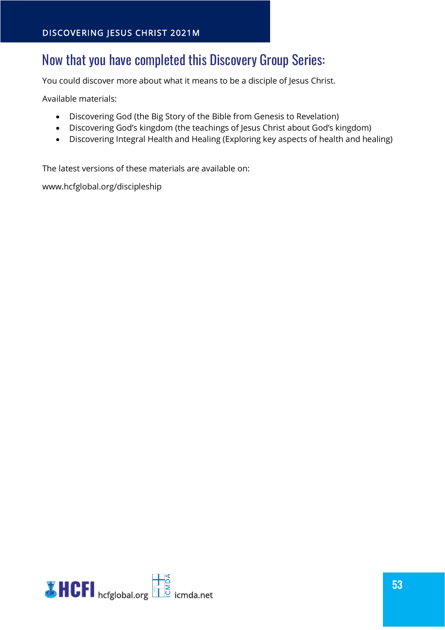# <span id="page-52-0"></span>Now that you have completed this Discovery Group Series:

You could discover more about what it means to be a disciple of Jesus Christ.

Available materials:

- Discovering God (the Big Story of the Bible from Genesis to Revelation)
- Discovering God's kingdom (the teachings of Jesus Christ about God's kingdom)
- Discovering Integral Health and Healing (Exploring key aspects of health and healing)

The latest versions of these materials are available on:

www.hcfglobal.org/discipleship

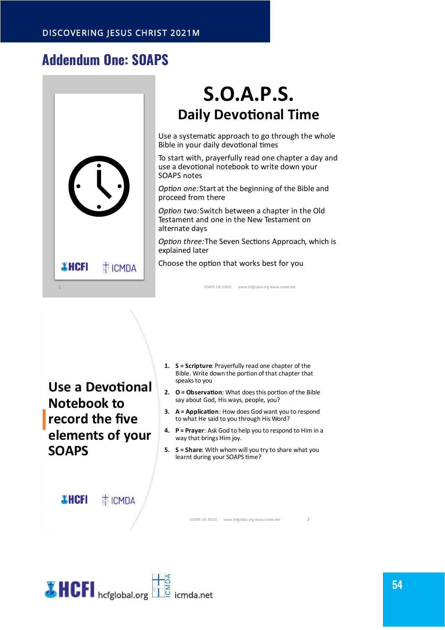# <span id="page-53-0"></span>**Addendum One: SOAPS**



# **S.O.A.P.S. Daily Devotional Time**

Use a systematic approach to go through the whole Bible in your daily devotional times

To start with, prayerfully read one chapter a day and use a devotional notebook to write down your **SOAPS notes** 

Option one: Start at the beginning of the Bible and proceed from there

Option two: Switch between a chapter in the Old Testament and one in the New Testament on alternate days

Option three: The Seven Sections Approach, which is explained later

Choose the option that works best for you

SOAPS UK 2021C www.hcfglobal.org www.icmda.net

**Use a Devotional Notebook to** record the five elements of your **SOAPS** 

- 1. S = Scripture: Praverfully read one chapter of the Bible. Write down the portion of that chapter that speaks to you
- 2. O = Observation: What does this portion of the Bible say about God, His ways, people, you?
- 3. A = Application: How does God want you to respond to what He said to you through His Word?
- 4. P = Prayer: Ask God to help you to respond to Him in a way that brings Him joy.
- 5. S = Share: With whom will you try to share what you learnt during your SOAPS time?

SOAPS UK 2021C www.hcfglobal.org www.icmda.net  $\overline{2}$ 



T ICMDA

**THCEI**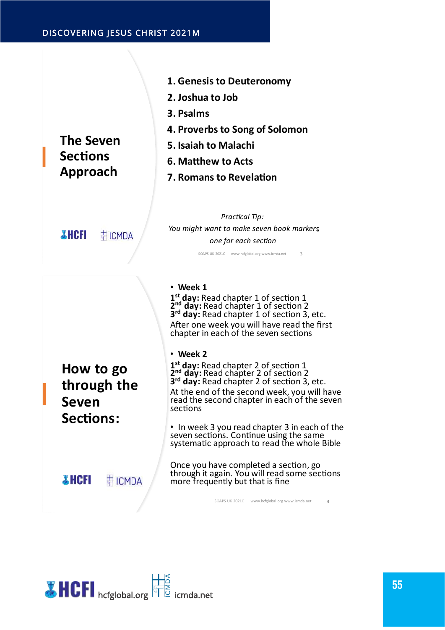## **The Seven Sections Approach**

**1. Genesis to Deuteronomy** 

- 2. Joshua to Job
- **3. Psalms**
- **4. Proverbs to Song of Solomon**
- **5. Isaiah to Malachi**
- **6. Matthew to Acts**
- **7. Romans to Revelation**

**Practical Tip:** You might want to make seven book markers one for each section

SOAPS UK 2021C www.hcfglobal.org www.icmda.net

T ICMDA

**THCFI** 

**•** 

 $\mathbf{1}^{\mathsf{s}}$  3' After one week you will have read the first chapter in each of the seven sections

 $\bullet$ 

**How to go** through the **Seven Sections:** 

**TICMDA THCFI** 

 $\mathbf{1}^{\mathsf{s}}$  3' At the end of the second week, you will have read the second chapter in each of the seven sections

 $\bullet$ seven sections. Continue using the same systematic approach to read the whole Bible

Once you have completed a section, go through it again. You will read some sections more frequently but that is fine

> SOAPS UK 2021C www.hcfglobal.org www.icmda.net  $\overline{\phantom{a}}$